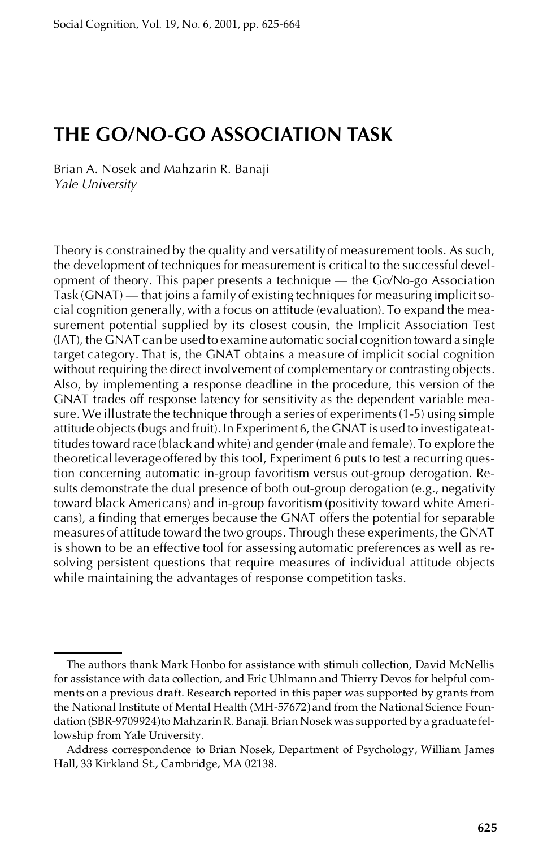# **THE GO/NO-GO ASSOCIATION TASK**

Brian A. Nosek and Mahzarin R. Banaji *Yale University*

Theory is constrained by the quality and versatilityof measurement tools. As such, the development of techniques for measurement is critical to the successful development of theory. This paper presents a technique — the Go/No-go Association Task (GNAT) — that joins a family of existing techniques for measuring implicitso cial cognition generally, with a focus on attitude (evaluation). To expand the measurement potential supplied by its closest cousin, the Implicit Association Test (IAT), the GNAT can be used to examine automatic social cognition toward a single target category. That is, the GNAT obtains a measure of implicit social cognition without requiring the direct involvement of complementary or contrasting objects. Also, by implementing a response deadline in the procedure, this version of the GNAT trades off response latency for sensitivity as the dependent variable mea sure. We illustrate the technique through a series of experiments(1-5) using simple attitude objects(bugs and fruit). In Experiment 6, the GNAT is used to investigateattitudestoward race (black and white) and gender (male and female). To explore the theoretical leverageoffered by this tool, Experiment 6 puts to test a recurring question concerning automatic in-group favoritism versus out-group derogation. Results demonstrate the dual presence of both out-group derogation (e.g., negativity toward black Americans) and in-group favoritism (positivity toward white Americans), a finding that emerges because the GNAT offers the potential for separable measures of attitude toward the two groups. Through these experiments, the GNAT is shown to be an effective tool for assessing automatic preferences as well as re solving persistent questions that require measures of individual attitude objects while maintaining the advantages of response competition tasks.

The authors thank Mark Honbo for assistance with stimuli collection, David McNellis for assistance with data collection, and Eric Uhlmann and Thierry Devos for helpful com ments on a previous draft. Research reported in this paper was supported by grants from the National Institute of Mental Health (MH-57672) and from the National Science Foundation (SBR-9709924)to MahzarinR. Banaji. Brian Nosek was supported by a graduate fellowship from Yale University.

Address correspondence to Brian Nosek, Department of Psychology, William James Hall, 33 Kirkland St., Cambridge, MA 02138.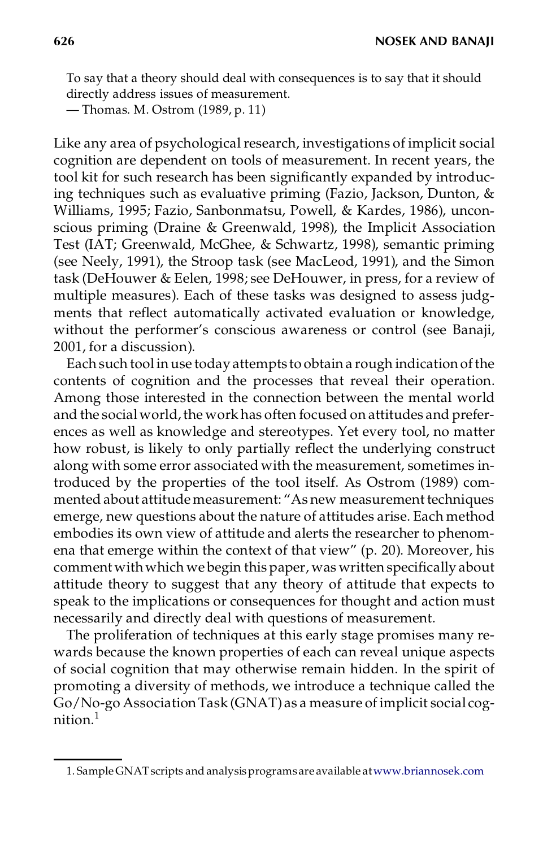To say that a theory should deal with consequences is to say that it should directly address issues of measurement.

— Thomas. M. Ostrom (1989, p. 11)

Like any area of psychological research, investigations of implicit social cognition are dependent on tools of measurement. In recent years, the tool kit for such research has been significantly expanded by introducing techniques such as evaluative priming (Fazio, Jackson, Dunton, & Williams, 1995; Fazio, Sanbonmatsu, Powell, & Kardes, 1986), uncon scious priming (Draine & Greenwald, 1998), the Implicit Association Test (IAT; Greenwald, McGhee, & Schwartz, 1998), semantic priming (see Neely, 1991), the Stroop task (see MacLeod, 1991), and the Simon task (DeHouwer & Eelen, 1998; see DeHouwer, in press, for a review of multiple measures). Each of these tasks was designed to assess judg ments that reflect automatically activated evaluation or knowledge, without the performer's conscious awareness or control (see Banaji, 2001, for a discussion).

Each such tool in use today attempts to obtain a rough indication of the contents of cognition and the processes that reveal their operation. Among those interested in the connection between the mental world and the social world, the work has often focused on attitudes and preferences as well as knowledge and stereotypes. Yet every tool, no matter how robust, is likely to only partially reflect the underlying construct along with some error associated with the measurement, sometimes introduced by the properties of the tool itself. As Ostrom (1989) commented about attitude measurement: "As new measurement techniques emerge, new questions about the nature of attitudes arise. Each method embodies its own view of attitude and alerts the researcher to phenomena that emerge within the context of that view" (p. 20). Moreover, his comment with which we begin this paper, was written specifically about attitude theory to suggest that any theory of attitude that expects to speak to the implications or consequences for thought and action must necessarily and directly deal with questions of measurement.

The proliferation of techniques at this early stage promises many rewards because the known properties of each can reveal unique aspects of social cognition that may otherwise remain hidden. In the spirit of promoting a diversity of methods, we introduce a technique called the Go/No-go AssociationTask (GNAT) as a measure of implicit social cog $n$ ition. $1$ 

<sup>1.</sup> SampleGNATscripts and analysisprograms are available at[www.briannosek.com](http://www.briannosek.com)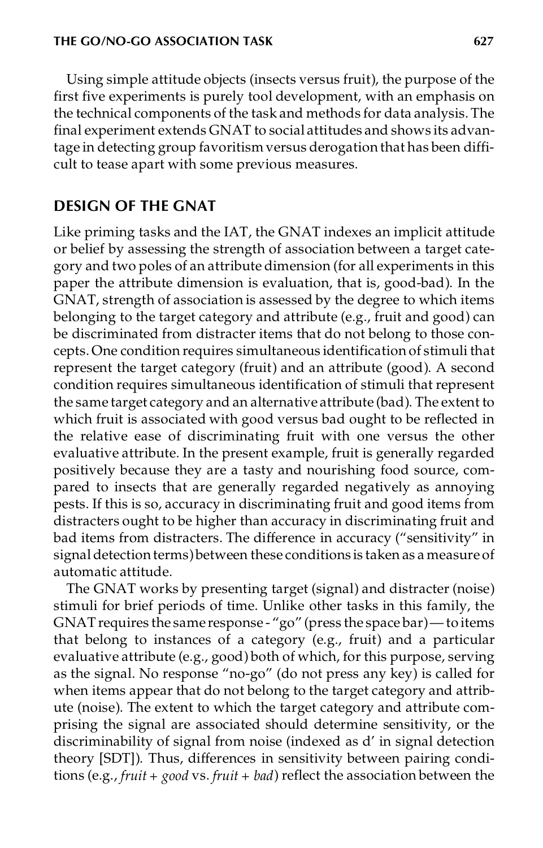Using simple attitude objects (insects versus fruit), the purpose of the first five experiments is purely tool development, with an emphasis on the technical components of the task and methods for data analysis. The final experiment extends GNAT to social attitudes and shows its advantage in detecting group favoritism versus derogation that has been difficult to tease apart with some previous measures.

## **DESIGN OF THE GNAT**

Like priming tasks and the IAT, the GNAT indexes an implicit attitude or belief by assessing the strength of association between a target category and two poles of an attribute dimension (for all experiments in this paper the attribute dimension is evaluation, that is, good-bad). In the GNAT, strength of association is assessed by the degree to which items belonging to the target category and attribute (e.g., fruit and good) can be discriminated from distracter items that do not belong to those concepts. One condition requires simultaneous identification of stimuli that represent the target category (fruit) and an attribute (good). A second condition requires simultaneous identification of stimuli that represent the same target category and an alternative attribute (bad). The extent to which fruit is associated with good versus bad ought to be reflected in the relative ease of discriminating fruit with one versus the other evaluative attribute. In the present example, fruit is generally regarded positively because they are a tasty and nourishing food source, compared to insects that are generally regarded negatively as annoying pests. If this is so, accuracy in discriminating fruit and good items from distracters ought to be higher than accuracy in discriminating fruit and bad items from distracters. The difference in accuracy ("sensitivity" in signal detection terms) between these conditions is taken as a measure of automatic attitude.

The GNAT works by presenting target (signal) and distracter (noise) stimuli for brief periods of time. Unlike other tasks in this family, the GNAT requires the same response -"go" (press the space bar)— to items that belong to instances of a category (e.g., fruit) and a particular evaluative attribute (e.g., good) both of which, for this purpose, serving as the signal. No response "no-go" (do not press any key) is called for when items appear that do not belong to the target category and attribute (noise). The extent to which the target category and attribute comprising the signal are associated should determine sensitivity, or the discriminability of signal from noise (indexed as d' in signal detection theory [SDT]). Thus, differences in sensitivity between pairing conditions (e.g., *fruit + good* vs. *fruit + bad*) reflect the association between the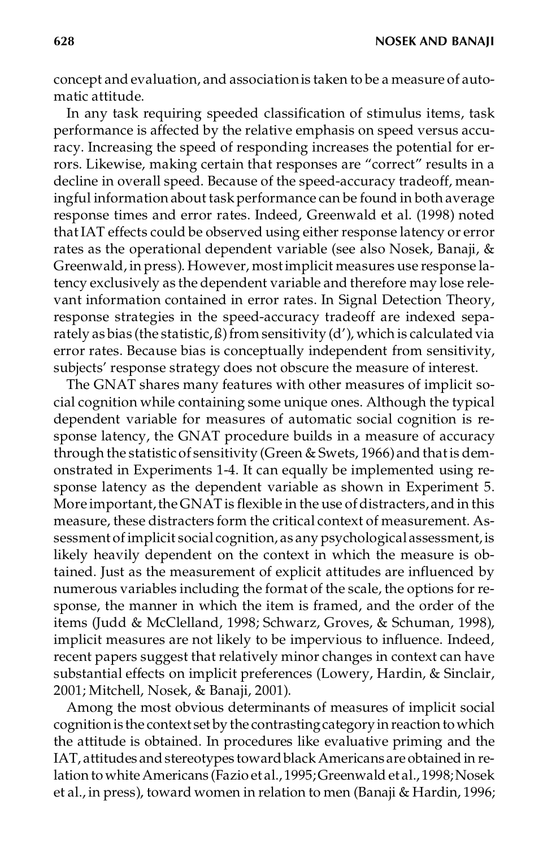concept and evaluation, and associationis taken to be a measure of automatic attitude.

In any task requiring speeded classification of stimulus items, task performance is affected by the relative emphasis on speed versus accuracy. Increasing the speed of responding increases the potential for errors. Likewise, making certain that responses are "correct" results in a decline in overall speed. Because of the speed-accuracy tradeoff, meaningful information about task performance can be found in both average response times and error rates. Indeed, Greenwald et al. (1998) noted that IAT effects could be observed using either response latency or error rates as the operational dependent variable (see also Nosek, Banaji, & Greenwald, in press). However, mostimplicit measures use response latency exclusively as the dependent variable and therefore may lose relevant information contained in error rates. In Signal Detection Theory, response strategies in the speed-accuracy tradeoff are indexed separately as bias (the statistic,  $\beta$ ) from sensitivity (d'), which is calculated via error rates. Because bias is conceptually independent from sensitivity, subjects' response strategy does not obscure the measure of interest.

The GNAT shares many features with other measures of implicit social cognition while containing some unique ones. Although the typical dependent variable for measures of automatic social cognition is response latency, the GNAT procedure builds in a measure of accuracy through the statistic of sensitivity (Green & Swets, 1966) and thatis demonstrated in Experiments 1-4. It can equally be implemented using response latency as the dependent variable as shown in Experiment 5. More important, the GNAT is flexible in the use of distracters, and in this measure, these distracters form the critical context of measurement. Assessment of implicit social cognition, as any psychological assessment, is likely heavily dependent on the context in which the measure is obtained. Just as the measurement of explicit attitudes are influenced by numerous variables including the format of the scale, the options for response, the manner in which the item is framed, and the order of the items (Judd & McClelland, 1998; Schwarz, Groves, & Schuman, 1998), implicit measures are not likely to be impervious to influence. Indeed, recent papers suggest that relatively minor changes in context can have substantial effects on implicit preferences (Lowery, Hardin, & Sinclair, 2001; Mitchell, Nosek, & Banaji, 2001).

Among the most obvious determinants of measures of implicit social cognition is the context set by the contrasting category in reaction to which the attitude is obtained. In procedures like evaluative priming and the IAT, attitudes and stereotypes toward black Americans are obtained in relation to white Americans (Fazio et al., 1995; Greenwald et al., 1998; Nosek et al., in press), toward women in relation to men (Banaji & Hardin, 1996;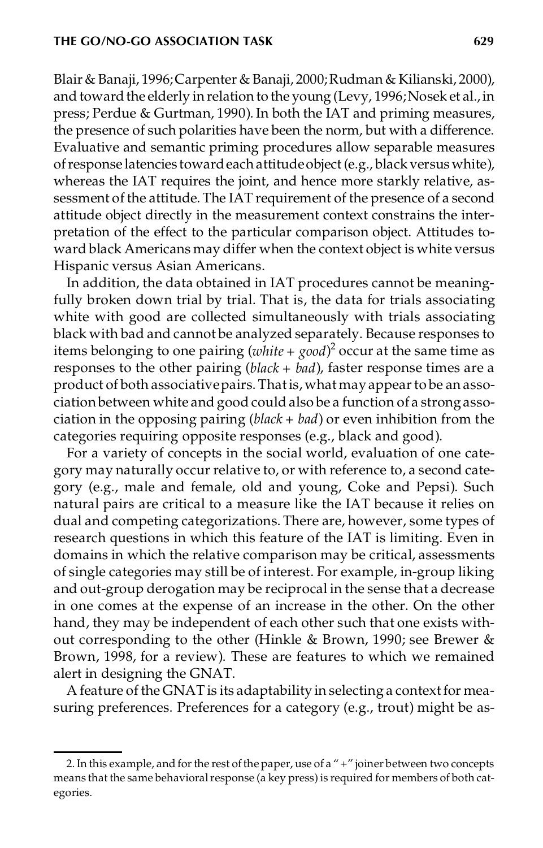Blair & Banaji, 1996;Carpenter & Banaji, 2000;Rudman& Kilianski, 2000), and toward the elderly in relation to the young (Levy, 1996; Nosek et al., in press; Perdue & Gurtman, 1990). In both the IAT and priming measures, the presence of such polarities have been the norm, but with a difference. Evaluative and semantic priming procedures allow separable measures ofresponse latencies towardeachattitudeobject (e.g., black versus white), whereas the IAT requires the joint, and hence more starkly relative, assessment of the attitude. The IAT requirement of the presence of a second attitude object directly in the measurement context constrains the interpretation of the effect to the particular comparison object. Attitudes toward black Americans may differ when the context object is white versus Hispanic versus Asian Americans.

In addition, the data obtained in IAT procedures cannot be meaningfully broken down trial by trial. That is, the data for trials associating white with good are collected simultaneously with trials associating black with bad and cannot be analyzed separately. Because responses to items belonging to one pairing  $(white + good)^2$  occur at the same time as responses to the other pairing (*black + bad*), faster response times are a product of both associativepairs.Thatis, what mayappearto be an associationbetween white and good could also be a function of a strongassociation in the opposing pairing (*black + bad*) or even inhibition from the categories requiring opposite responses (e.g., black and good).

For a variety of concepts in the social world, evaluation of one category may naturally occur relative to, or with reference to, a second category (e.g., male and female, old and young, Coke and Pepsi). Such natural pairs are critical to a measure like the IAT because it relies on dual and competing categorizations. There are, however, some types of research questions in which this feature of the IAT is limiting. Even in domains in which the relative comparison may be critical, assessments of single categories may still be of interest. For example, in-group liking and out-group derogation may be reciprocal in the sense that a decrease in one comes at the expense of an increase in the other. On the other hand, they may be independent of each other such that one exists without corresponding to the other (Hinkle & Brown, 1990; see Brewer & Brown, 1998, for a review). These are features to which we remained alert in designing the GNAT.

A feature of the GNAT is its adaptability in selecting a context for measuring preferences. Preferences for a category (e.g., trout) might be as-

<sup>2.</sup> In this example, and for the rest of the paper, use of a "+" joiner between two concepts means that the same behavioral response (a key press) is required for members of both categories.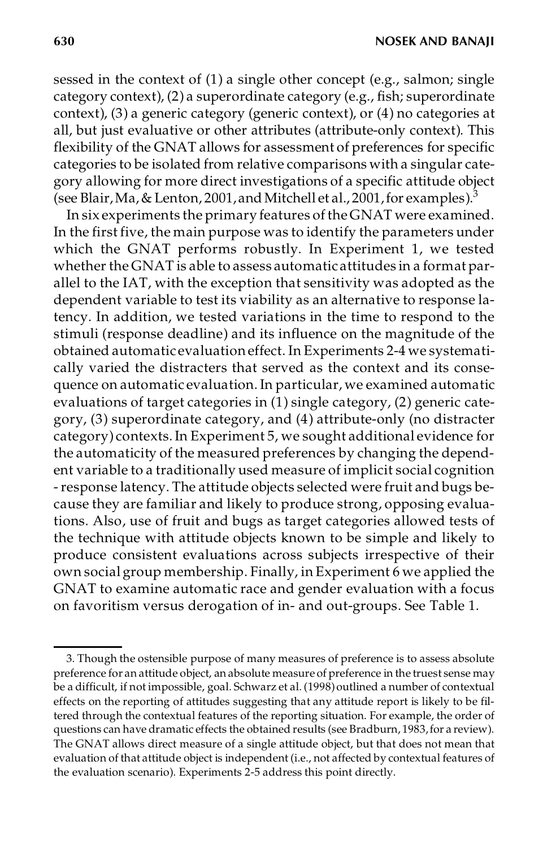sessed in the context of (1) a single other concept (e.g., salmon; single category context), (2) a superordinate category (e.g., fish; superordinate context), (3) a generic category (generic context), or (4) no categories at all, but just evaluative or other attributes (attribute-only context). This flexibility of the GNAT allows for assessment of preferences for specific categories to be isolated from relative comparisons with a singular category allowing for more direct investigations of a specific attitude object (see Blair, Ma, & Lenton, 2001, and Mitchell et al., 2001, for examples). $^3$ 

In six experiments the primary features of theGNAT were examined. In the first five, the main purpose was to identify the parameters under which the GNAT performs robustly. In Experiment 1, we tested whether the GNAT is able to assess automaticattitudes in a format parallel to the IAT, with the exception that sensitivity was adopted as the dependent variable to test its viability as an alternative to response latency. In addition, we tested variations in the time to respond to the stimuli (response deadline) and its influence on the magnitude of the obtained automatic evaluation effect. In Experiments 2-4 we systematically varied the distracters that served as the context and its consequence on automatic evaluation.In particular, we examined automatic evaluations of target categories in  $(1)$  single category, (2) generic category, (3) superordinate category, and (4) attribute-only (no distracter category) contexts.In Experiment 5, we sought additional evidence for the automaticity of the measured preferences by changing the dependent variable to a traditionally used measure of implicit social cognition -response latency. The attitude objects selected were fruit and bugs because they are familiar and likely to produce strong, opposing evaluations. Also, use of fruit and bugs as target categories allowed tests of the technique with attitude objects known to be simple and likely to produce consistent evaluations across subjects irrespective of their own social group membership. Finally, in Experiment 6 we applied the GNAT to examine automatic race and gender evaluation with a focus on favoritism versus derogation of in- and out-groups. See Table 1.

<sup>3.</sup> Though the ostensible purpose of many measures of preference is to assess absolute preference for an attitude object, an absolute measure of preference in the truest sense may be a difficult, if not impossible, goal. Schwarz et al. (1998) outlined a number of contextual effects on the reporting of attitudes suggesting that any attitude report is likely to be filtered through the contextual features of the reporting situation. For example, the order of questions can have dramatic effects the obtained results (see Bradburn, 1983,for a review). The GNAT allows direct measure of a single attitude object, but that does not mean that evaluation of that attitude object is independent (i.e., not affected by contextual features of the evaluation scenario). Experiments 2-5 address this point directly.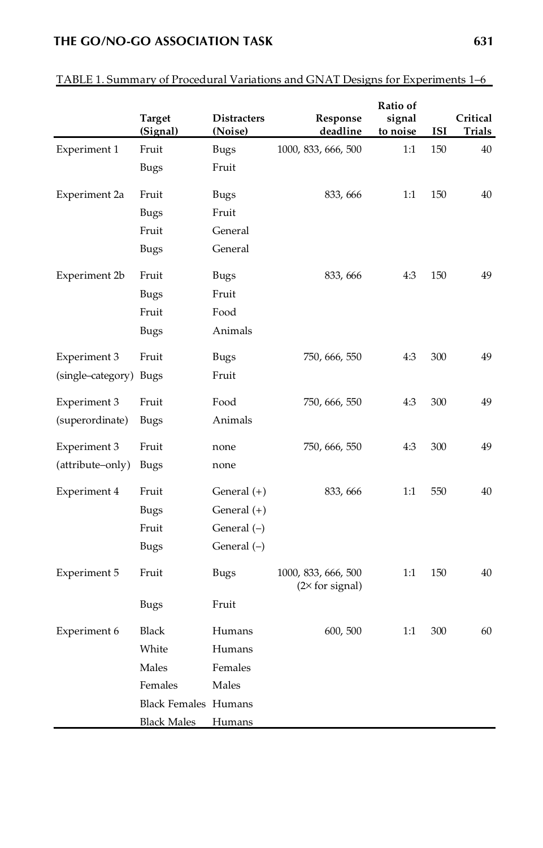## **THE GO/NO-GO ASSOCIATION TASK 631**

|                        | Target<br>(Signal)          | <b>Distracters</b><br>(Noise) | Response<br>deadline                          | Ratio of<br>signal<br>to noise | ISI | Critical<br>Trials |
|------------------------|-----------------------------|-------------------------------|-----------------------------------------------|--------------------------------|-----|--------------------|
| Experiment 1           | Fruit                       | Bugs                          | 1000, 833, 666, 500                           | 1:1                            | 150 | 40                 |
|                        | Bugs                        | Fruit                         |                                               |                                |     |                    |
| Experiment 2a          | Fruit                       | <b>Bugs</b>                   | 833, 666                                      | 1:1                            | 150 | 40                 |
|                        | Bugs                        | Fruit                         |                                               |                                |     |                    |
|                        | Fruit                       | General                       |                                               |                                |     |                    |
|                        | Bugs                        | General                       |                                               |                                |     |                    |
| Experiment 2b          | Fruit                       | <b>Bugs</b>                   | 833, 666                                      | 4:3                            | 150 | 49                 |
|                        | Bugs                        | Fruit                         |                                               |                                |     |                    |
|                        | Fruit                       | Food                          |                                               |                                |     |                    |
|                        | Bugs                        | Animals                       |                                               |                                |     |                    |
| Experiment 3           | Fruit                       | <b>Bugs</b>                   | 750, 666, 550                                 | 4:3                            | 300 | 49                 |
| (single–category) Bugs |                             | Fruit                         |                                               |                                |     |                    |
| Experiment 3           | Fruit                       | Food                          | 750, 666, 550                                 | 4.3                            | 300 | 49                 |
| (superordinate)        | Bugs                        | Animals                       |                                               |                                |     |                    |
| Experiment 3           | Fruit                       | none                          | 750, 666, 550                                 | 4:3                            | 300 | 49                 |
| (attribute–only)       | Bugs                        | none                          |                                               |                                |     |                    |
| Experiment 4           | Fruit                       | General (+)                   | 833, 666                                      | 1:1                            | 550 | 40                 |
|                        | Bugs                        | General $(+)$                 |                                               |                                |     |                    |
|                        | Fruit                       | General (-)                   |                                               |                                |     |                    |
|                        | Bugs                        | General $(-)$                 |                                               |                                |     |                    |
| Experiment 5           | Fruit                       | <b>Bugs</b>                   | 1000, 833, 666, 500<br>$(2\times$ for signal) | 1:1                            | 150 | 40                 |
|                        | Bugs                        | Fruit                         |                                               |                                |     |                    |
| Experiment 6           | Black                       | Humans                        | 600, 500                                      | 1:1                            | 300 | 60                 |
|                        | White                       | Humans                        |                                               |                                |     |                    |
|                        | Males                       | Females                       |                                               |                                |     |                    |
|                        | Females                     | Males                         |                                               |                                |     |                    |
|                        | <b>Black Females Humans</b> |                               |                                               |                                |     |                    |
|                        | <b>Black Males</b>          | Humans                        |                                               |                                |     |                    |

## TABLE 1. Summary of Procedural Variations and GNAT Designs for Experiments 1–6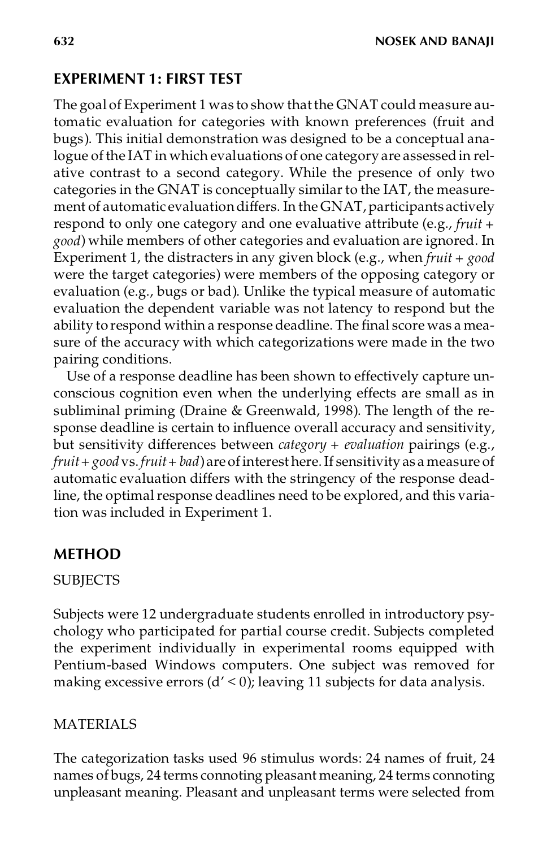# **EXPERIMENT 1: FIRST TEST**

The goal of Experiment 1 was to show thatthe GNAT could measure automatic evaluation for categories with known preferences (fruit and bugs). This initial demonstration was designed to be a conceptual analogue of the IAT in which evaluations of one category are assessedin relative contrast to a second category. While the presence of only two categories in the GNAT is conceptually similar to the IAT, the measurement of automatic evaluationdiffers. In the GNAT, participants actively respond to only one category and one evaluative attribute (e.g., *fruit + good*) while members of other categories and evaluation are ignored. In Experiment 1, the distracters in any given block (e.g., when *fruit + good* were the target categories) were members of the opposing category or evaluation (e.g., bugs or bad). Unlike the typical measure of automatic evaluation the dependent variable was not latency to respond but the ability to respond within a response deadline. The final score was a measure of the accuracy with which categorizations were made in the two pairing conditions.

Use of a response deadline has been shown to effectively capture unconscious cognition even when the underlying effects are small as in subliminal priming (Draine & Greenwald, 1998). The length of the response deadline is certain to influence overall accuracy and sensitivity, but sensitivity differences between *category + evaluation* pairings (e.g., *fruit+ good*vs. *fruit+ bad*)are ofinterest here.If sensitivity as a measure of automatic evaluation differs with the stringency of the response deadline, the optimal response deadlines need to be explored, and this variation was included in Experiment 1.

# **METHOD**

## **SUBJECTS**

Subjects were 12 undergraduate students enrolled in introductory psychology who participated for partial course credit. Subjects completed the experiment individually in experimental rooms equipped with Pentium-based Windows computers. One subject was removed for making excessive errors  $(d' < 0)$ ; leaving 11 subjects for data analysis.

## MATERIALS

The categorization tasks used 96 stimulus words: 24 names of fruit, 24 names of bugs, 24 terms connoting pleasant meaning, 24 terms connoting unpleasant meaning. Pleasant and unpleasant terms were selected from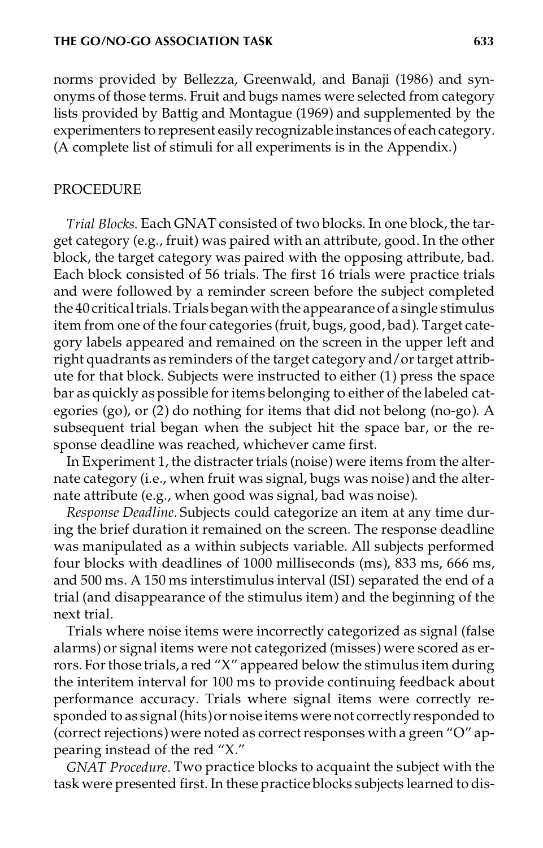norms provided by Bellezza, Greenwald, and Banaji (1986) and synonyms of those terms. Fruit and bugs names were selected from category lists provided by Battig and Montague (1969) and supplemented by the experimenters to represent easily recognizable instances of each category. (A complete list of stimuli for all experiments is in the Appendix.)

#### PROCEDURE

*Trial Blocks.* Each GNAT consisted of two blocks. In one block, the target category (e.g., fruit) was paired with an attribute, good. In the other block, the target category was paired with the opposing attribute, bad. Each block consisted of 56 trials. The first 16 trials were practice trials and were followed by a reminder screen before the subject completed the 40 critical trials. Trials began with the appearance of a single stimulus item from one of the four categories (fruit, bugs, good, bad). Target category labels appeared and remained on the screen in the upper left and right quadrants as reminders of the target category and/ortarget attribute for that block. Subjects were instructed to either (1) press the space bar as quickly as possible for items belonging to either of the labeled categories (go), or (2) do nothing for items that did not belong (no-go). A subsequent trial began when the subject hit the space bar, or the response deadline was reached, whichever came first.

In Experiment 1, the distracter trials (noise) were items from the alternate category (i.e., when fruit was signal, bugs was noise) and the alternate attribute (e.g., when good was signal, bad was noise).

*Response Deadline.* Subjects could categorize an item at any time during the brief duration it remained on the screen. The response deadline was manipulated as a within subjects variable. All subjects performed four blocks with deadlines of 1000 milliseconds (ms), 833 ms, 666 ms, and 500 ms. A 150 ms interstimulus interval (ISI) separated the end of a trial (and disappearance of the stimulus item) and the beginning of the next trial.

Trials where noise items were incorrectly categorized as signal (false alarms) or signal items were not categorized (misses) were scored as errors. Forthose trials, a red "X" appeared below the stimulus item during the interitem interval for 100 ms to provide continuing feedback about performance accuracy. Trials where signal items were correctly responded to as signal (hits) or noise items were not correctly responded to (correct rejections) were noted as correct responses with a green "O" appearing instead of the red "X."

*GNAT Procedure.* Two practice blocks to acquaint the subject with the task were presented first. In these practice blocks subjects learned to dis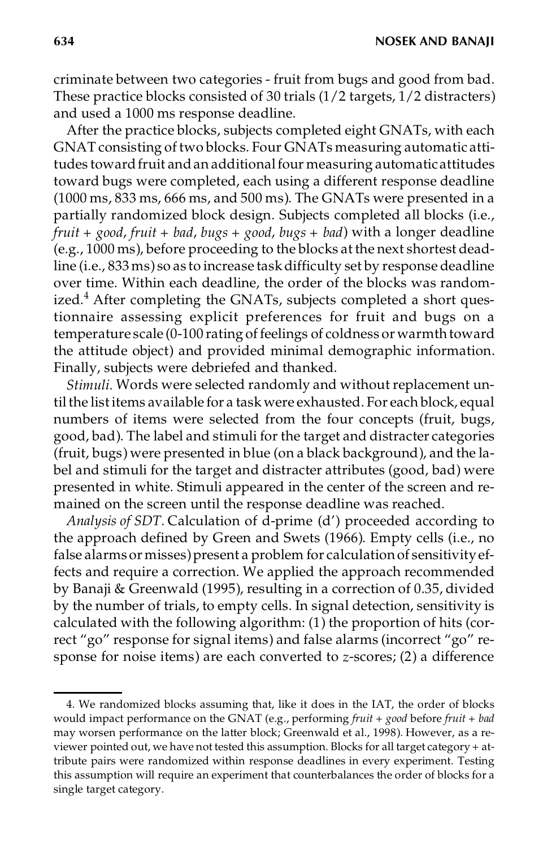**634 NOSEK AND BANAJI**

criminate between two categories - fruit from bugs and good from bad. These practice blocks consisted of 30 trials  $(1/2 \text{ targets}, 1/2 \text{ distances})$ and used a 1000 ms response deadline.

After the practice blocks, subjects completed eight GNATs, with each GNAT consisting of two blocks. Four GNATs measuring automatic attitudes toward fruit and an additional four measuring automatic attitudes toward bugs were completed, each using a different response deadline (1000 ms, 833 ms, 666 ms, and 500 ms). The GNATs were presented in a partially randomized block design. Subjects completed all blocks (i.e., *fruit + good*, *fruit + bad*, *bugs + good*, *bugs + bad*) with a longer deadline (e.g., 1000 ms), before proceeding to the blocks at the next shortest deadline (i.e., 833 ms) so as to increase taskdifficulty set by response deadline over time. Within each deadline, the order of the blocks was randomized. $4$  After completing the GNATs, subjects completed a short questionnaire assessing explicit preferences for fruit and bugs on a temperature scale (0-100 rating of feelings of coldness or warmth toward the attitude object) and provided minimal demographic information. Finally, subjects were debriefed and thanked.

*Stimuli.* Words were selected randomly and without replacement until the list items available for a task were exhausted. For each block, equal numbers of items were selected from the four concepts (fruit, bugs, good, bad). The label and stimuli for the target and distracter categories (fruit, bugs) were presented in blue (on a black background), and the label and stimuli for the target and distracter attributes (good, bad) were presented in white. Stimuli appeared in the center of the screen and remained on the screen until the response deadline was reached.

*Analysis of SDT.* Calculation of d-prime (d') proceeded according to the approach defined by Green and Swets (1966). Empty cells (i.e., no false alarms or misses) present a problem for calculation of sensitivity effects and require a correction. We applied the approach recommended by Banaji & Greenwald (1995), resulting in a correction of 0.35, divided by the number of trials, to empty cells. In signal detection, sensitivity is calculated with the following algorithm: (1) the proportion of hits (correct "go" response for signal items) and false alarms (incorrect "go" response for noise items) are each converted to *z*-scores; (2) a difference

<sup>4.</sup> We randomized blocks assuming that, like it does in the IAT, the order of blocks would impact performance on the GNAT (e.g., performing *fruit + good* before *fruit + bad* may worsen performance on the latter block; Greenwald et al., 1998). However, as a re viewer pointed out, we have not tested this assumption. Blocks for all target category + attribute pairs were randomized within response deadlines in every experiment. Testing this assumption will require an experiment that counterbalances the order of blocks for a single target category.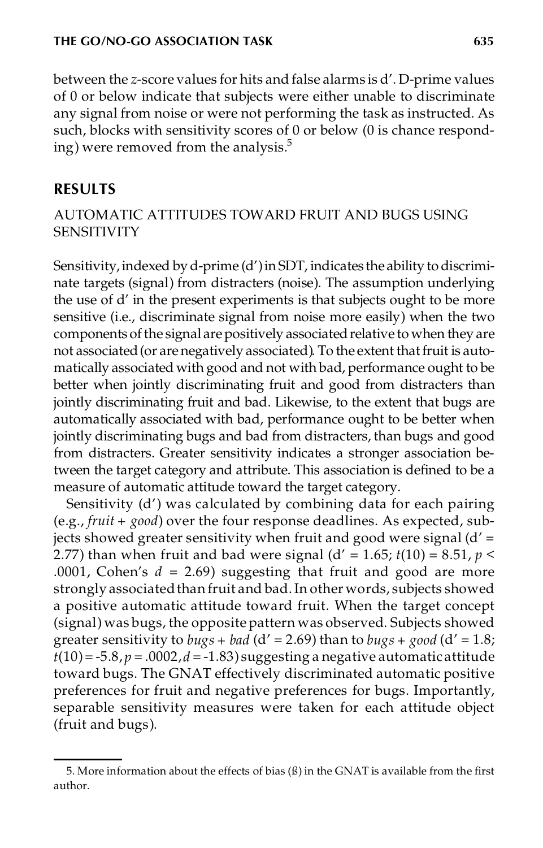between the *z*-score values for hits and false alarms is d'. D-prime values of 0 or below indicate that subjects were either unable to discriminate any signal from noise or were not performing the task as instructed. As such, blocks with sensitivity scores of 0 or below (0 is chance responding) were removed from the analysis. $5$ 

# **RESULTS**

## AUTOMATIC ATTITUDES TOWARD FRUIT AND BUGS USING **SENSITIVITY**

Sensitivity, indexed by d-prime (d') in SDT, indicates the ability to discriminate targets (signal) from distracters (noise). The assumption underlying the use of d' in the present experiments is that subjects ought to be more sensitive (i.e., discriminate signal from noise more easily) when the two components of the signal are positively associated relative to when they are not associated (or are negatively associated). To the extent that fruit is automatically associated with good and not with bad, performance ought to be better when jointly discriminating fruit and good from distracters than jointly discriminating fruit and bad. Likewise, to the extent that bugs are automatically associated with bad, performance ought to be better when jointly discriminating bugs and bad from distracters, than bugs and good from distracters. Greater sensitivity indicates a stronger association between the target category and attribute. This association is defined to be a measure of automatic attitude toward the target category.

Sensitivity (d') was calculated by combining data for each pairing (e.g., *fruit + good*) over the four response deadlines. As expected, subjects showed greater sensitivity when fruit and good were signal (d' = 2.77) than when fruit and bad were signal (d' = 1.65;  $t(10) = 8.51$ ,  $p <$ .0001, Cohen's  $d = 2.69$ ) suggesting that fruit and good are more strongly associated than fruit and bad. In other words, subjects showed a positive automatic attitude toward fruit. When the target concept (signal) was bugs, the opposite pattern was observed. Subjects showed greater sensitivity to *bugs* + *bad* ( $d'$  = 2.69) than to *bugs* + *good* ( $d'$  = 1.8;  $t(10) = -5.8$ ,  $p = .0002$ ,  $d = -1.83$ ) suggesting a negative automatic attitude toward bugs. The GNAT effectively discriminated automatic positive preferences for fruit and negative preferences for bugs. Importantly, separable sensitivity measures were taken for each attitude object (fruit and bugs).

<sup>5.</sup> More information about the effects of bias  $(\beta)$  in the GNAT is available from the first author.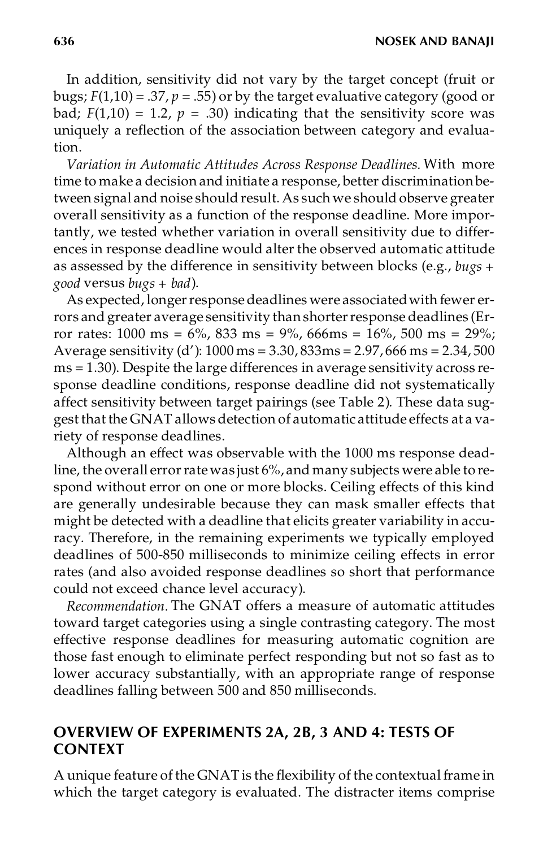In addition, sensitivity did not vary by the target concept (fruit or bugs;  $F(1,10) = .37$ ,  $p = .55$ ) or by the target evaluative category (good or bad;  $F(1,10) = 1.2$ ,  $p = .30$ ) indicating that the sensitivity score was uniquely a reflection of the association between category and evaluation.

*Variation in Automatic Attitudes Across Response Deadlines.* With more time to make a decision and initiate a response, better discriminationbetween signal and noise should result. As such we should observe greater overall sensitivity as a function of the response deadline. More importantly, we tested whether variation in overall sensitivity due to differences in response deadline would alter the observed automatic attitude as assessed by the difference in sensitivity between blocks (e.g., *bugs + good* versus *bugs + bad*).

As expected, longer response deadlines were associated with fewer errors and greater average sensitivity than shorter response deadlines (Error rates:  $1000 \text{ ms} = 6\%$ ,  $833 \text{ ms} = 9\%$ ,  $666 \text{ ms} = 16\%$ ,  $500 \text{ ms} = 29\%$ ; Average sensitivity (d'): 1000 ms = 3.30, 833ms = 2.97, 666 ms = 2.34, 500 ms = 1.30). Despite the large differences in average sensitivity across response deadline conditions, response deadline did not systematically affect sensitivity between target pairings (see Table 2). These data suggest that the GNAT allows detection of automatic attitude effects at a variety of response deadlines.

Although an effect was observable with the 1000 ms response deadline, the overall error rate was just 6%, and many subjects were able to respond without error on one or more blocks. Ceiling effects of this kind are generally undesirable because they can mask smaller effects that might be detected with a deadline that elicits greater variability in accuracy. Therefore, in the remaining experiments we typically employed deadlines of 500-850 milliseconds to minimize ceiling effects in error rates (and also avoided response deadlines so short that performance could not exceed chance level accuracy).

*Recommendation.* The GNAT offers a measure of automatic attitudes toward target categories using a single contrasting category. The most effective response deadlines for measuring automatic cognition are those fast enough to eliminate perfect responding but not so fast as to lower accuracy substantially, with an appropriate range of response deadlines falling between 500 and 850 milliseconds.

# **OVERVIEW OF EXPERIMENTS 2A, 2B, 3 AND 4: TESTS OF CONTEXT**

A unique feature of the GNAT is the flexibility of the contextual frame in which the target category is evaluated. The distracter items comprise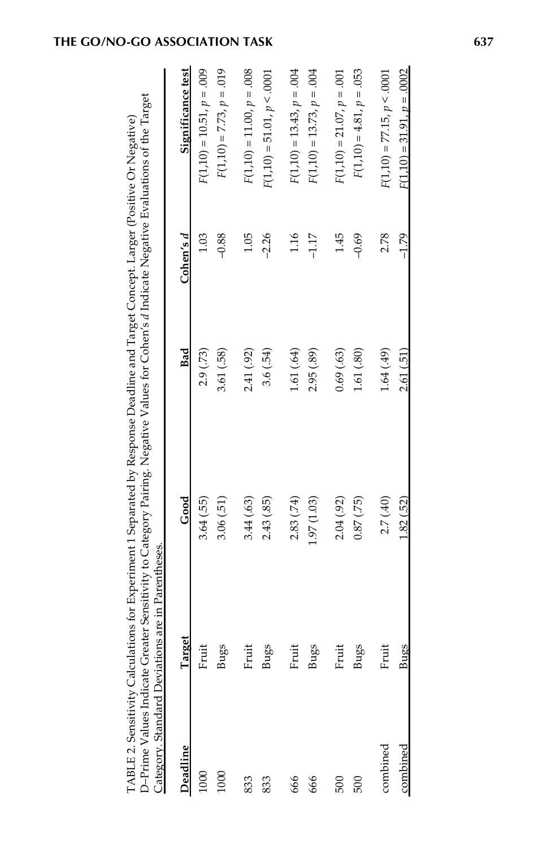| Deadline | Target | Good            | Bad        | Cohen's d | Significance test            |
|----------|--------|-----------------|------------|-----------|------------------------------|
| 1000     | Fruit  | 3.64 (.55)      | 2.9 (.73)  | 1.03      | $F(1,10) = 10.51, p = .009$  |
| 1000     | Bugs   | 3.06(51)        | 3.61 (.58) | $-0.88$   | $F(1,10) = 7.73, p = .019$   |
| 833      | Fruit  | 3.44 (.63)      | 2.41 (.92) | 1.05      | $F(1,10) = 11.00, p = .008$  |
| 833      | Bugs   | 2.43 (.85)      | 3.6(.54)   | $-2.26$   | $F(1,10) = 51.01, p < .0001$ |
| 666      | Fruit  | 2.83 (.74)      | 1.61 (.64) | 1.16      | $F(1,10) = 13.43, p = .004$  |
| 666      | Bugs   | 1.97 (1.03)     | 2.95 (.89) | $-1.17$   | $F(1,10) = 13.73, p = .004$  |
| 500      | Fruit  | 2.04 (.92)      | 0.69(.63)  | 1.45      | $F(1,10) = 21.07, p = .001$  |
| 500      | Bugs   | $(52)$ ( $-180$ | 1.61 (.80) | $-0.69$   | $F(1,10) = 4.81, p = .053$   |
| combined | Fruit  | 2.7 (.40)       | 1.64(.49)  | 2.78      | $F(1,10) = 77.15, p < .0001$ |
| combined | Bugs   | 1.82(.52)       | 2.61(.51)  | $-1.79$   | $F(1,10) = 31.91, p = .0002$ |

| $\sim$ $\sim$ $\sim$<br>$\vdots$<br>Ï<br>$\ddotsc$ and $\ddotsc$<br>$\frac{1}{2}$<br>$\frac{1}{2}$<br>COMPOSED<br>Fut uters | j<br>ŀ | ሳሳሳ |
|-----------------------------------------------------------------------------------------------------------------------------|--------|-----|
| <br> <br> <br>i                                                                                                             |        | :   |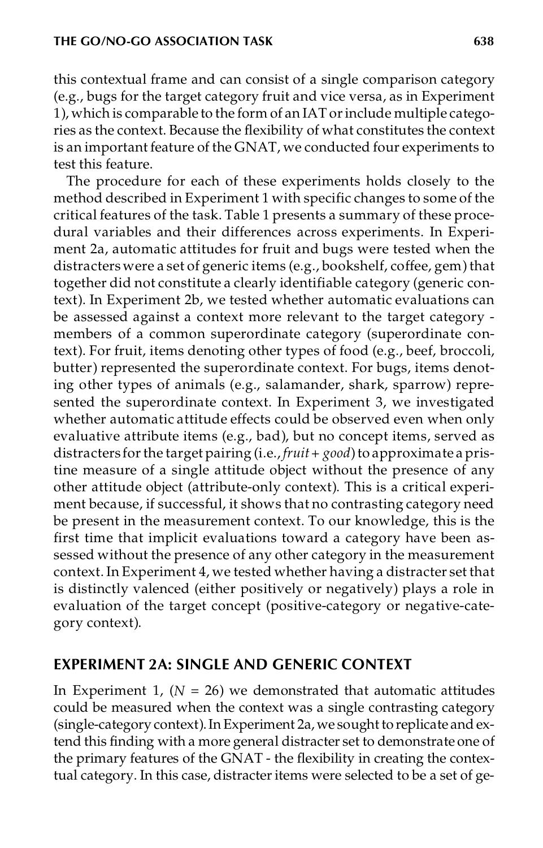this contextual frame and can consist of a single comparison category (e.g., bugs for the target category fruit and vice versa, as in Experiment 1), which is comparable to the form of an IAT orinclude multiple categories as the context. Because the flexibility of what constitutes the context is an important feature of the GNAT, we conducted four experiments to test this feature.

The procedure for each of these experiments holds closely to the method described in Experiment 1 with specific changes to some of the critical features of the task. Table 1 presents a summary of these procedural variables and their differences across experiments. In Experiment 2a, automatic attitudes for fruit and bugs were tested when the distracters were a set of generic items (e.g., bookshelf, coffee, gem) that together did not constitute a clearly identifiable category (generic context). In Experiment 2b, we tested whether automatic evaluations can be assessed against a context more relevant to the target category -members of a common superordinate category (superordinate context). For fruit, items denoting other types of food (e.g., beef, broccoli, butter) represented the superordinate context. For bugs, items denoting other types of animals (e.g., salamander, shark, sparrow) represented the superordinate context. In Experiment 3, we investigated whether automatic attitude effects could be observed even when only evaluative attribute items (e.g., bad), but no concept items, served as distracters forthe target pairing (i.e., *fruit+ good*)to approximate a pristine measure of a single attitude object without the presence of any other attitude object (attribute-only context). This is a critical experiment because, if successful, it shows that no contrasting category need be present in the measurement context. To our knowledge, this is the first time that implicit evaluations toward a category have been assessed without the presence of any other category in the measurement context.In Experiment 4, we tested whether having a distracter set that is distinctly valenced (either positively or negatively) plays a role in evaluation of the target concept (positive-category or negative-category context).

## **EXPERIMENT 2A: SINGLE AND GENERIC CONTEXT**

In Experiment 1,  $(N = 26)$  we demonstrated that automatic attitudes could be measured when the context was a single contrasting category (single-category context). In Experiment 2a, we sought to replicate and extend this finding with a more general distracter set to demonstrate one of the primary features of the GNAT - the flexibility in creating the contextual category. In this case, distracter items were selected to be a set of ge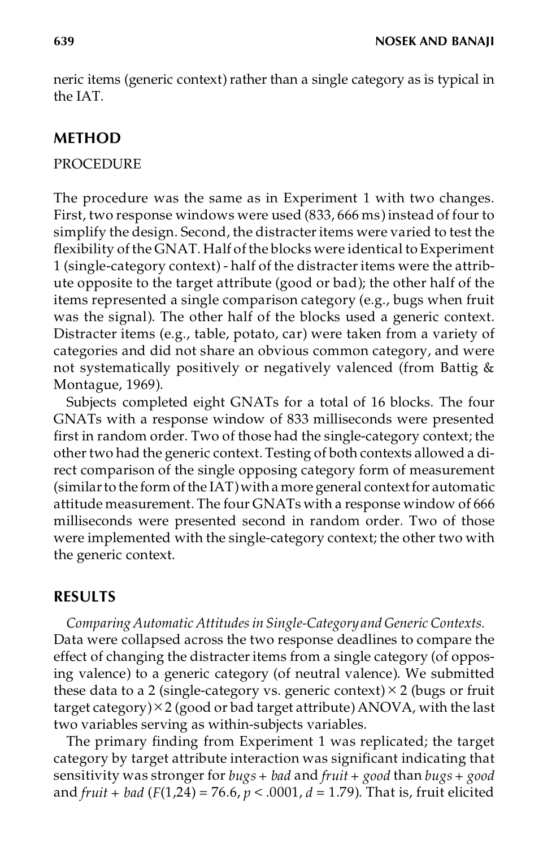neric items (generic context) rather than a single category as is typical in the IAT.

## **METHOD**

### PROCEDURE

The procedure was the same as in Experiment 1 with two changes. First, two response windows were used (833, 666 ms) instead of four to simplify the design. Second, the distracter items were varied to test the flexibility of the GNAT. Half of the blocks were identical to Experiment 1 (single-category context) - half of the distracteritems were the attribute opposite to the target attribute (good or bad); the other half of the items represented a single comparison category (e.g., bugs when fruit was the signal). The other half of the blocks used a generic context. Distracter items (e.g., table, potato, car) were taken from a variety of categories and did not share an obvious common category, and were not systematically positively or negatively valenced (from Battig & Montague, 1969).

Subjects completed eight GNATs for a total of 16 blocks. The four GNATs with a response window of 833 milliseconds were presented first in random order. Two of those had the single-category context; the other two had the generic context. Testing of both contexts allowed a direct comparison of the single opposing category form of measurement (similar to the form of the  $IAT$ ) with a more general context for automatic attitude measurement. The four GNATs with a response window of 666 milliseconds were presented second in random order. Two of those were implemented with the single-category context; the other two with the generic context.

## **RESULTS**

*Comparing Automatic Attitudesin Single-Category and Generic Contexts.* Data were collapsed across the two response deadlines to compare the effect of changing the distracter items from a single category (of opposing valence) to a generic category (of neutral valence). We submitted these data to a 2 (single-category vs. generic context)  $\times$  2 (bugs or fruit target category) $\times$ 2 (good or bad target attribute) ANOVA, with the last two variables serving as within-subjects variables.

The primary finding from Experiment 1 was replicated; the target category by target attribute interaction was significant indicating that sensitivity was stronger for *bugs + bad* and *fruit + good* than *bugs + good* and *fruit + bad* (*F*(1,24) = 76.6, *p* < .0001, *d* = 1.79). That is, fruit elicited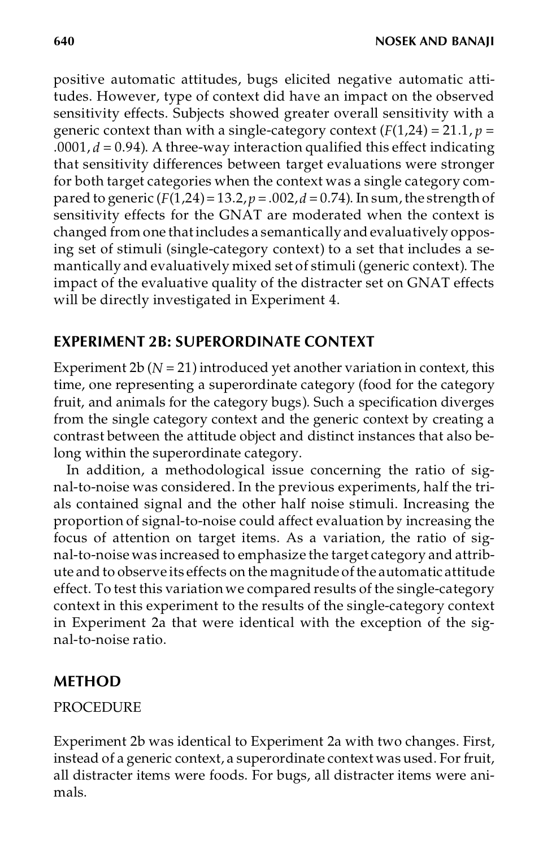positive automatic attitudes, bugs elicited negative automatic attitudes. However, type of context did have an impact on the observed sensitivity effects. Subjects showed greater overall sensitivity with a generic context than with a single-category context  $(F(1,24) = 21.1, p =$ .0001, *d* = 0.94). A three-way interaction qualified this effect indicating that sensitivity differences between target evaluations were stronger for both target categories when the context was a single category compared to generic  $(F(1,24)=13.2, p=.002, d=0.74)$ . In sum, the strength of sensitivity effects for the GNAT are moderated when the context is changed from one thatincludes a semantically and evaluatively opposing set of stimuli (single-category context) to a set that includes a semantically and evaluatively mixed set of stimuli (generic context). The impact of the evaluative quality of the distracter set on GNAT effects will be directly investigated in Experiment 4.

# **EXPERIMENT 2B: SUPERORDINATE CONTEXT**

Experiment  $2b (N = 21)$  introduced yet another variation in context, this time, one representing a superordinate category (food for the category fruit, and animals for the category bugs). Such a specification diverges from the single category context and the generic context by creating a contrast between the attitude object and distinct instances that also belong within the superordinate category.

In addition, a methodological issue concerning the ratio of signal-to-noise was considered. In the previous experiments, half the trials contained signal and the other half noise stimuli. Increasing the proportion of signal-to-noise could affect evaluation by increasing the focus of attention on target items. As a variation, the ratio of signal-to-noise was increased to emphasize the target category and attribute and to observe its effects on the magnitude ofthe automatic attitude effect. To test this variation we compared results of the single-category context in this experiment to the results of the single-category context in Experiment 2a that were identical with the exception of the signal-to-noise ratio.

# **METHOD**

## PROCEDURE

Experiment 2b was identical to Experiment 2a with two changes. First, instead of a generic context, a superordinate context was used. For fruit, all distracter items were foods. For bugs, all distracter items were animals.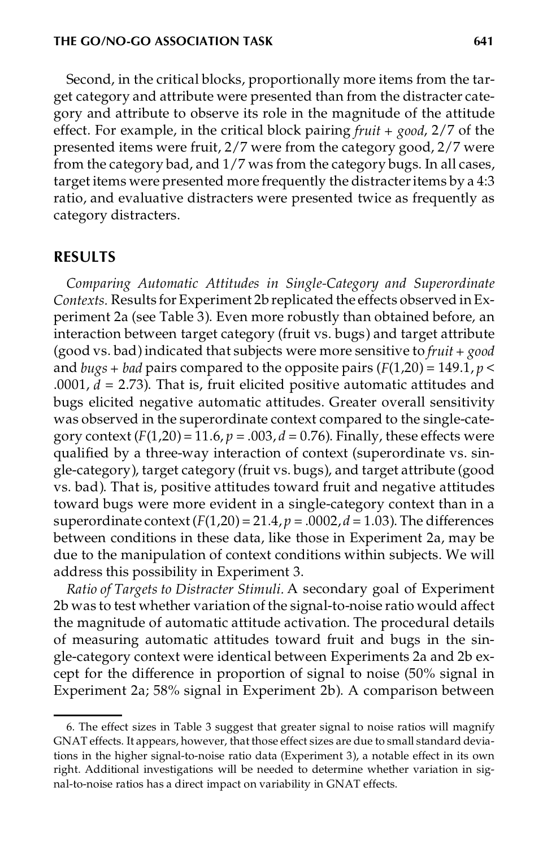Second, in the critical blocks, proportionally more items from the target category and attribute were presented than from the distracter category and attribute to observe its role in the magnitude of the attitude effect. For example, in the critical block pairing *fruit + good*, 2/7 of the presented items were fruit, 2/7 were from the category good, 2/7 were from the category bad, and 1/7 was from the category bugs. In all cases, target items were presented more frequently the distracteritems by a 4:3 ratio, and evaluative distracters were presented twice as frequently as category distracters.

#### **RESULTS**

*Comparing Automatic Attitudes in Single-Category and Superordinate Contexts.* Results for Experiment 2b replicated the effects observed inExperiment 2a (see Table 3). Even more robustly than obtained before, an interaction between target category (fruit vs. bugs) and target attribute (good vs. bad)indicated that subjects were more sensitive to *fruit + good* and *bugs* + *bad* pairs compared to the opposite pairs  $(F(1,20) = 149.1, p <$ .0001,  $d = 2.73$ ). That is, fruit elicited positive automatic attitudes and bugs elicited negative automatic attitudes. Greater overall sensitivity was observed in the superordinate context compared to the single-category context  $(F(1,20) = 11.6, p = .003, d = 0.76)$ . Finally, these effects were qualified by a three-way interaction of context (superordinate vs. single-category), target category (fruit vs. bugs), and target attribute (good vs. bad). That is, positive attitudes toward fruit and negative attitudes toward bugs were more evident in a single-category context than in a superordinate context  $(F(1,20) = 21.4, p = .0002, d = 1.03)$ . The differences between conditions in these data, like those in Experiment 2a, may be due to the manipulation of context conditions within subjects. We will address this possibility in Experiment 3.

*Ratio of Targets to Distracter Stimuli.* A secondary goal of Experiment 2b was to test whether variation of the signal-to-noise ratio would affect the magnitude of automatic attitude activation. The procedural details of measuring automatic attitudes toward fruit and bugs in the single-category context were identical between Experiments 2a and 2b except for the difference in proportion of signal to noise (50% signal in Experiment 2a; 58% signal in Experiment 2b). A comparison between

<sup>6.</sup> The effect sizes in Table 3 suggest that greater signal to noise ratios will magnify GNAT effects. It appears, however, that those effect sizes are due to small standard deviations in the higher signal-to-noise ratio data (Experiment 3), a notable effect in its own right. Additional investigations will be needed to determine whether variation in signal-to-noise ratios has a direct impact on variability in GNAT effects.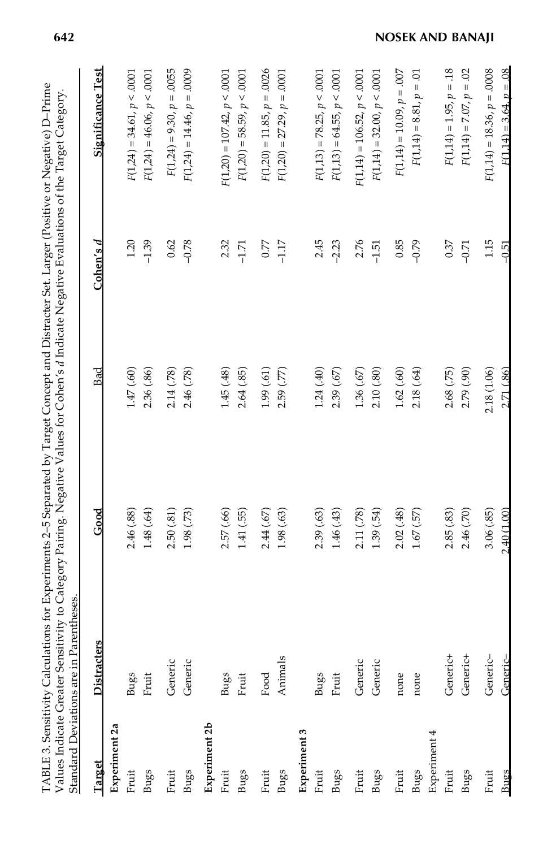| Standard Deviations are in Parentheses |             |             |             |             |                               |
|----------------------------------------|-------------|-------------|-------------|-------------|-------------------------------|
| Target                                 | Distracters | Good        | Bad         | Cohen's $d$ | <u>Significance Test</u>      |
| Experiment 2a                          |             |             |             |             |                               |
| Fruit                                  | Bugs        | 2.46 (.88)  | 1.47(60)    | 1.20        | $F(1,24) = 34.61, p < .0001$  |
| <b>Bugs</b>                            | Fruit       | 1.48(.64)   | 2.36(.86)   | $-1.39$     | $F(1,24) = 46.06, p < .0001$  |
| Fruit                                  | Generic     | 2.50(.81)   | 2.14(.78)   | 0.62        | $F(1,24) = 9.30, p = .0055$   |
| Bugs                                   | Generic     | 1.98(73)    | 2.46(.78)   | $-0.78$     | $F(1,24) = 14.46, p = .0009$  |
| Experiment 2b                          |             |             |             |             |                               |
| Fruit                                  | Bugs        | 2.57 (.66)  | 1.45(48)    | 2.32        | $F(1,20) = 107.42, p < .0001$ |
| Bugs                                   | Fruit       | 1.41(.55)   | 2.64(.85)   | $-1.71$     | $F(1,20) = 58.59, p < .0001$  |
| Fruit                                  | Food        | 2.44(67)    | 1.99(61)    | 0.77        | $F(1,20) = 11.85, p = .0026$  |
| Bugs                                   | Animals     | 1.98(63)    | 2.59(.77)   | $-1.17$     | $F(1,20) = 27.29, p = .0001$  |
| Experiment 3                           |             |             |             |             |                               |
| Fruit                                  | <b>Bugs</b> | 2.39(.63)   | 1.24(.40)   | 2.45        | $F(1,13) = 78.25, p < .0001$  |
| <b>Bugs</b>                            | Fruit       | 1.46(43)    | 2.39(.67)   | $-2.23$     | $F(1,13) = 64.55, p < .0001$  |
| Fruit                                  | Generic     | 2.11 (.78)  | 1.36(.67)   | 2.76        | $F(1,14) = 106.52, p < .0001$ |
| <b>Bugs</b>                            | Generic     | 1.39(.54)   | 2.10(.80)   | $-1.51$     | $F(1,14) = 32.00, p < .0001$  |
| Fruit                                  | none        | 2.02(48)    | 1.62(.60)   | 0.85        | $F(1,14) = 10.09, p = .007$   |
| Bugs                                   | none        | 1.67(57)    | 2.18(.64)   | $-0.79$     | $F(1,14) = 8.81, p = .01$     |
| Experiment 4                           |             |             |             |             |                               |
| Fruit                                  | Generic+    | 2.85(.83)   | 2.68(.75)   | 0.37        | $F(1,14) = 1.95, p = 18$      |
| <b>Bugs</b>                            | Generic+    | 2.46(.70)   | 2.79(.90)   | $-0.71$     | $F(1,14) = 7.07, p = .02$     |
| Fruit                                  | Generic-    | 3.06(.85)   | 2.18 (1.06) | 1.15        | $F(1,14) = 18.36, p = .0008$  |
| <b>Bugs</b>                            | Generic-    | 2.40 (1.00) | 2.71 (.86)  | $-0.51$     | $F(1.14) = 3.64, p = .08$     |

# **642 NOSEK AND BANAJI**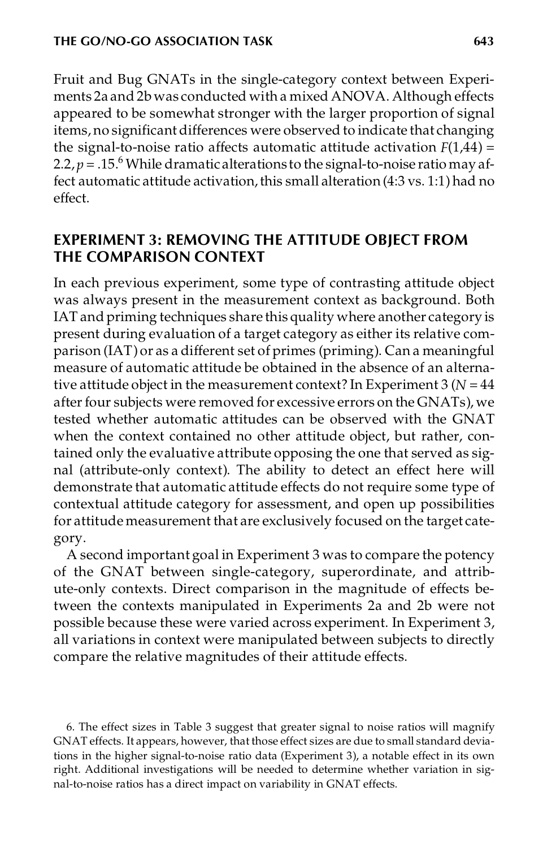Fruit and Bug GNATs in the single-category context between Experiments 2a and 2b was conducted with a mixed ANOVA. Although effects appeared to be somewhat stronger with the larger proportion of signal items, no significant differences were observed to indicate that changing the signal-to-noise ratio affects automatic attitude activation  $F(1,44) =$ 2.2,  $p = 0.15$ <sup>6</sup> While dramatic alterations to the signal-to-noise ratio may affect automatic attitude activation,this small alteration (4:3 vs. 1:1) had no effect.

# **EXPERIMENT 3: REMOVING THE ATTITUDE OBJECT FROM THE COMPARISON CONTEXT**

In each previous experiment, some type of contrasting attitude object was always present in the measurement context as background. Both IAT and priming techniques share this quality where another category is present during evaluation of a target category as either its relative comparison (IAT)or as a different set of primes (priming). Can a meaningful measure of automatic attitude be obtained in the absence of an alternative attitude object in the measurement context? In Experiment  $3 (N = 44)$ after four subjects were removed for excessive errors on the GNATs), we tested whether automatic attitudes can be observed with the GNAT when the context contained no other attitude object, but rather, contained only the evaluative attribute opposing the one that served as signal (attribute-only context). The ability to detect an effect here will demonstrate that automatic attitude effects do not require some type of contextual attitude category for assessment, and open up possibilities for attitude measurement that are exclusively focused on the target category.

A second important goal in Experiment 3 was to compare the potency of the GNAT between single-category, superordinate, and attribute-only contexts. Direct comparison in the magnitude of effects between the contexts manipulated in Experiments 2a and 2b were not possible because these were varied across experiment. In Experiment 3, all variations in context were manipulated between subjects to directly compare the relative magnitudes of their attitude effects.

6. The effect sizes in Table 3 suggest that greater signal to noise ratios will magnify GNAT effects. It appears, however, that those effect sizes are due to small standard deviations in the higher signal-to-noise ratio data (Experiment 3), a notable effect in its own right. Additional investigations will be needed to determine whether variation in signal-to-noise ratios has a direct impact on variability in GNAT effects.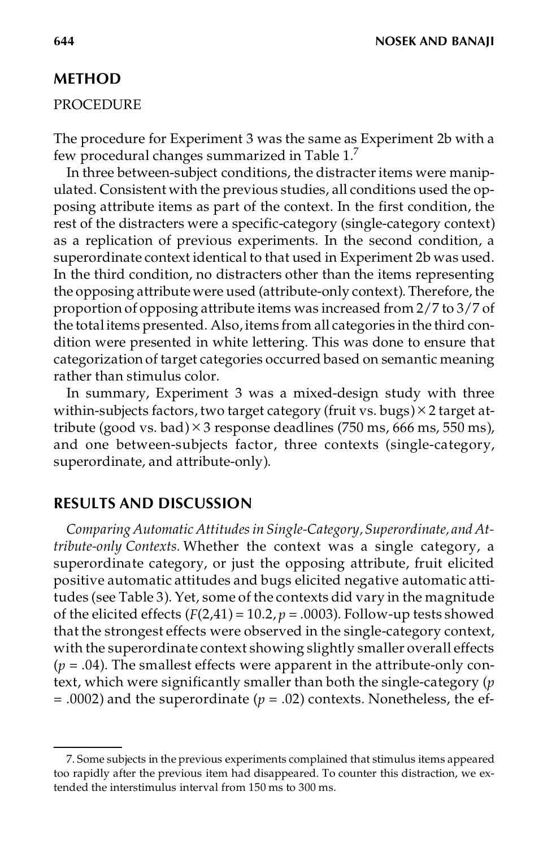### **METHOD**

#### PROCEDURE

The procedure for Experiment 3 was the same as Experiment 2b with a few procedural changes summarized in Table 1.<sup>7</sup>

In three between-subject conditions, the distracter items were manipulated. Consistent with the previous studies, all conditions used the opposing attribute items as part of the context. In the first condition, the rest of the distracters were a specific-category (single-category context) as a replication of previous experiments. In the second condition, a superordinate context identical to that used in Experiment 2b was used. In the third condition, no distracters other than the items representing the opposing attribute were used (attribute-only context). Therefore, the proportion of opposing attribute items was increased from 2/7 to 3/7 of the totalitems presented. Also, items from all categories in the third condition were presented in white lettering. This was done to ensure that categorization of target categories occurred based on semantic meaning rather than stimulus color.

In summary, Experiment 3 was a mixed-design study with three within-subjects factors, two target category (fruit vs. bugs) $\times$  2 target attribute (good vs. bad)  $\times$  3 response deadlines (750 ms, 666 ms, 550 ms), and one between-subjects factor, three contexts (single-category, superordinate, and attribute-only).

## **RESULTS AND DISCUSSION**

*Comparing Automatic Attitudesin Single-Category,Superordinate, and Attribute-only Contexts.* Whether the context was a single category, a superordinate category, or just the opposing attribute, fruit elicited positive automatic attitudes and bugs elicited negative automatic attitudes (see Table 3). Yet, some of the contexts did vary in the magnitude of the elicited effects  $(F(2,41) = 10.2, p = .0003)$ . Follow-up tests showed that the strongest effects were observed in the single-category context, with the superordinate context showing slightly smaller overall effects  $(p = .04)$ . The smallest effects were apparent in the attribute-only context, which were significantly smaller than both the single-category (*p*  $= .0002$ ) and the superordinate ( $p = .02$ ) contexts. Nonetheless, the ef-

<sup>7.</sup> Some subjects in the previous experiments complained that stimulus items appeared too rapidly after the previous item had disappeared. To counter this distraction, we extended the interstimulus interval from 150 ms to 300 ms.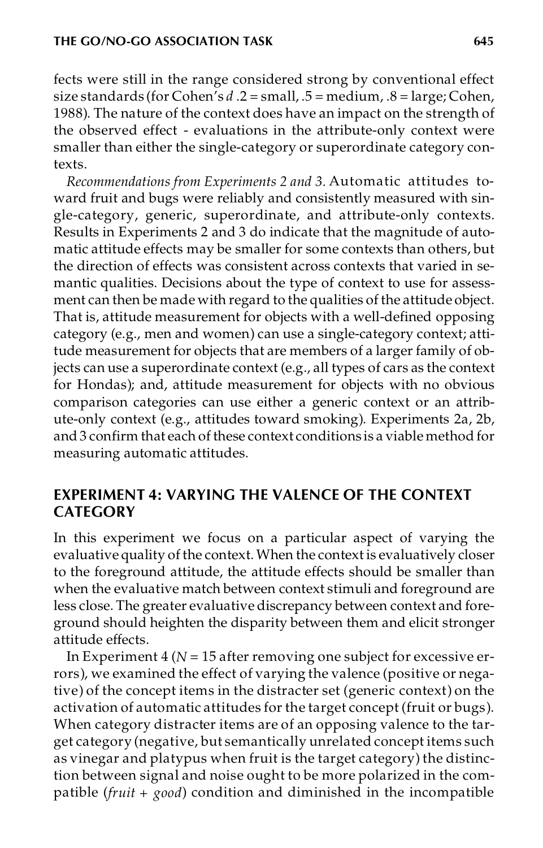fects were still in the range considered strong by conventional effect size standards (for Cohen's *d* .2 = small, .5 = medium, .8 = large; Cohen, 1988). The nature of the context does have an impact on the strength of the observed effect - evaluations in the attribute-only context were smaller than either the single-category or superordinate category contexts.

*Recommendations from Experiments 2 and 3.* Automatic attitudes toward fruit and bugs were reliably and consistently measured with single-category, generic, superordinate, and attribute-only contexts. Results in Experiments 2 and 3 do indicate that the magnitude of automatic attitude effects may be smaller for some contexts than others, but the direction of effects was consistent across contexts that varied in semantic qualities. Decisions about the type of context to use for assessment can then be made with regard to the qualities of the attitude object. That is, attitude measurement for objects with a well-defined opposing category (e.g., men and women) can use a single-category context; attitude measurement for objects that are members of a larger family of objects can use a superordinate context (e.g., all types of cars as the context for Hondas); and, attitude measurement for objects with no obvious comparison categories can use either a generic context or an attribute-only context (e.g., attitudes toward smoking). Experiments 2a, 2b, and 3 confirm that each of these context conditions is a viable method for measuring automatic attitudes.

## **EXPERIMENT 4: VARYING THE VALENCE OF THE CONTEXT CATEGORY**

In this experiment we focus on a particular aspect of varying the evaluative quality of the context.When the context is evaluatively closer to the foreground attitude, the attitude effects should be smaller than when the evaluative match between context stimuli and foreground are less close. The greater evaluative discrepancy between context and foreground should heighten the disparity between them and elicit stronger attitude effects.

In Experiment 4 (*N* = 15 after removing one subject for excessive errors), we examined the effect of varying the valence (positive or negative) of the concept items in the distracter set (generic context) on the activation of automatic attitudes for the target concept (fruit or bugs). When category distracter items are of an opposing valence to the target category (negative, but semantically unrelated concept items such as vinegar and platypus when fruit is the target category) the distinction between signal and noise ought to be more polarized in the compatible (*fruit + good*) condition and diminished in the incompatible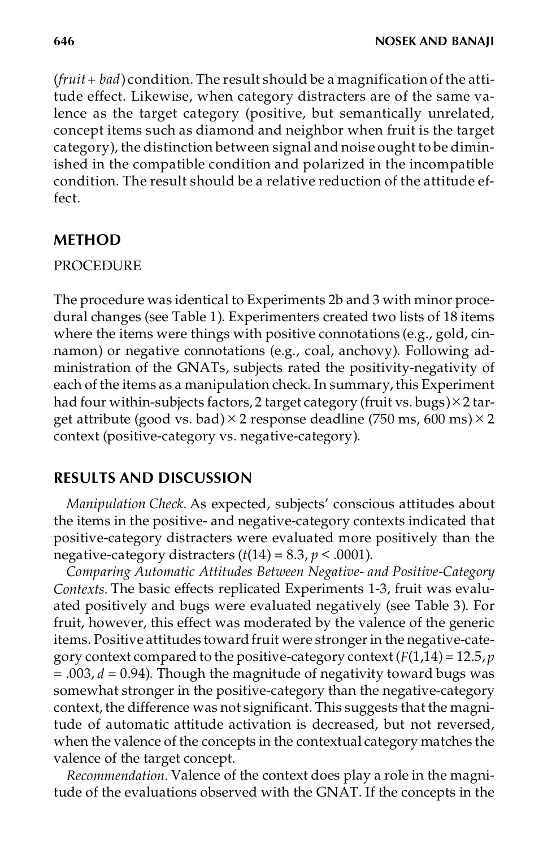(*fruit+ bad*) condition. The result should be a magnification of the attitude effect. Likewise, when category distracters are of the same valence as the target category (positive, but semantically unrelated, concept items such as diamond and neighbor when fruit is the target category), the distinction between signal and noise ought to be diminished in the compatible condition and polarized in the incompatible condition. The result should be a relative reduction of the attitude effect.

# **METHOD**

## PROCEDURE

The procedure was identical to Experiments 2b and 3 with minor procedural changes (see Table 1). Experimenters created two lists of 18 items where the items were things with positive connotations (e.g., gold, cinnamon) or negative connotations (e.g., coal, anchovy). Following administration of the GNATs, subjects rated the positivity-negativity of each of the items as a manipulation check. In summary, this Experiment had four within-subjects factors, 2 target category (fruit vs. bugs) $\times$  2 target attribute (good vs. bad)  $\times$  2 response deadline (750 ms, 600 ms)  $\times$  2 context (positive-category vs. negative-category).

# **RESULTS AND DISCUSSION**

*Manipulation Check.* As expected, subjects' conscious attitudes about the items in the positive- and negative-category contexts indicated that positive-category distracters were evaluated more positively than the negative-category distracters  $(t(14) = 8.3, p < .0001)$ .

*Comparing Automatic Attitudes Between Negative- and Positive-Category Contexts.* The basic effects replicated Experiments 1-3, fruit was evaluated positively and bugs were evaluated negatively (see Table 3). For fruit, however, this effect was moderated by the valence of the generic items. Positive attitudes toward fruit were stronger in the negative-category context compared to the positive-category context (*F*(1,14) = 12.5, *p* = .003, *d* = 0.94). Though the magnitude of negativity toward bugs was somewhat stronger in the positive-category than the negative-category context, the difference was not significant. This suggests that the magnitude of automatic attitude activation is decreased, but not reversed, when the valence of the concepts in the contextual category matches the valence of the target concept.

*Recommendation.* Valence of the context does play a role in the magnitude of the evaluations observed with the GNAT. If the concepts in the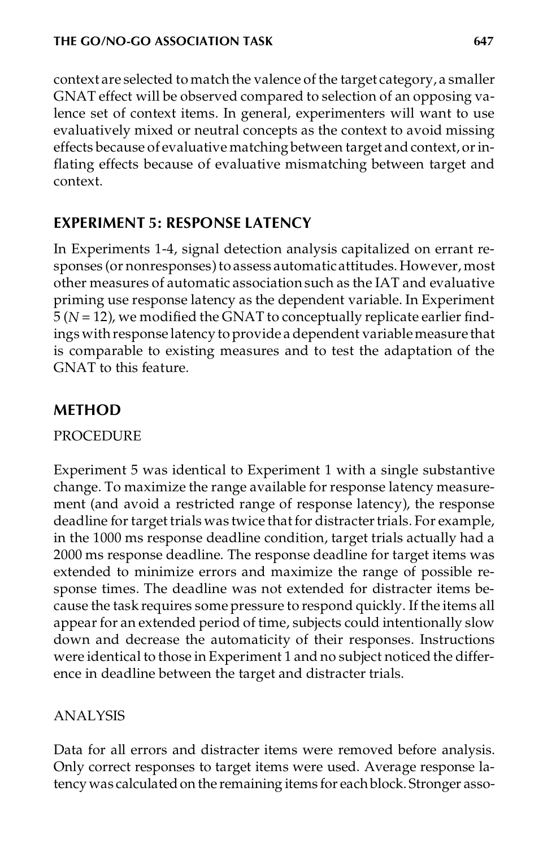context are selected to match the valence of the target category, a smaller GNAT effect will be observed compared to selection of an opposing valence set of context items. In general, experimenters will want to use evaluatively mixed or neutral concepts as the context to avoid missing effects because of evaluative matching between target and context, or inflating effects because of evaluative mismatching between target and context.

# **EXPERIMENT 5: RESPONSE LATENCY**

In Experiments 1-4, signal detection analysis capitalized on errant responses (or nonresponses) to assess automatic attitudes. However, most other measures of automatic association such as the IAT and evaluative priming use response latency as the dependent variable. In Experiment 5 (*N* = 12), we modified the GNAT to conceptually replicate earlier findings withresponse latency to provide a dependent variablemeasure that is comparable to existing measures and to test the adaptation of the GNAT to this feature.

# **METHOD**

PROCEDURE

Experiment 5 was identical to Experiment 1 with a single substantive change. To maximize the range available for response latency measurement (and avoid a restricted range of response latency), the response deadline for target trials was twice that for distracter trials. For example, in the 1000 ms response deadline condition, target trials actually had a 2000 ms response deadline. The response deadline for target items was extended to minimize errors and maximize the range of possible response times. The deadline was not extended for distracter items because the task requires some pressure to respond quickly. If the items all appear for an extended period of time, subjects could intentionally slow down and decrease the automaticity of their responses. Instructions were identical to those in Experiment 1 and no subject noticed the difference in deadline between the target and distracter trials.

# ANALYSIS

Data for all errors and distracter items were removed before analysis. Only correct responses to target items were used. Average response latency was calculated on the remaining items for each block. Stronger asso-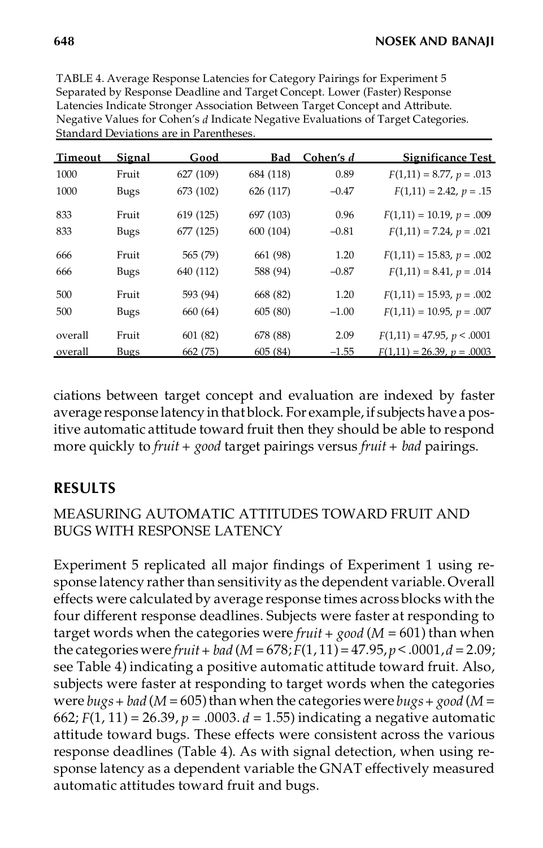| TABLE 4. Average Response Latencies for Category Pairings for Experiment 5        |
|-----------------------------------------------------------------------------------|
| Separated by Response Deadline and Target Concept. Lower (Faster) Response        |
| Latencies Indicate Stronger Association Between Target Concept and Attribute.     |
| Negative Values for Cohen's d Indicate Negative Evaluations of Target Categories. |
| Standard Deviations are in Parentheses.                                           |

| Timeout | Signal      | Good      | <b>Bad</b> | Cohen's d | Significance Test            |
|---------|-------------|-----------|------------|-----------|------------------------------|
| 1000    | Fruit       | 627 (109) | 684 (118)  | 0.89      | $F(1,11) = 8.77, p = .013$   |
| 1000    | <b>Bugs</b> | 673 (102) | 626 (117)  | $-0.47$   | $F(1,11) = 2.42, p = .15$    |
| 833     | Fruit       | 619 (125) | 697 (103)  | 0.96      | $F(1,11) = 10.19, p = .009$  |
| 833     | <b>Bugs</b> | 677 (125) | 600 (104)  | $-0.81$   | $F(1,11) = 7.24, p = .021$   |
| 666     | Fruit       | 565 (79)  | 661 (98)   | 1.20      | $F(1,11) = 15.83, p = .002$  |
| 666     | <b>Bugs</b> | 640 (112) | 588 (94)   | $-0.87$   | $F(1,11) = 8.41, p = .014$   |
| 500     | Fruit       | 593 (94)  | 668 (82)   | 1.20      | $F(1,11) = 15.93, p = .002$  |
| 500     | <b>Bugs</b> | 660 (64)  | 605(80)    | $-1.00$   | $F(1,11) = 10.95, p = .007$  |
| overall | Fruit       | 601(82)   | 678 (88)   | 2.09      | $F(1,11) = 47.95, p < .0001$ |
| overall | <b>Bugs</b> | 662 (75)  | 605(84)    | $-1.55$   | $F(1,11) = 26.39, p = .0003$ |

ciations between target concept and evaluation are indexed by faster average response latency in that block. For example, if subjects have a positive automatic attitude toward fruit then they should be able to respond more quickly to *fruit + good* target pairings versus *fruit + bad* pairings.

# **RESULTS**

# MEASURING AUTOMATIC ATTITUDES TOWARD FRUIT AND BUGS WITH RESPONSE LATENCY

Experiment 5 replicated all major findings of Experiment 1 using response latency rather than sensitivity as the dependent variable. Overall effects were calculated by average response times across blocks with the four different response deadlines. Subjects were faster at responding to target words when the categories were *fruit + good* (*M* = 601) than when the categories were *fruit* + *bad*  $(M = 678; F(1, 11) = 47.95, p < .0001, d = 2.09;$ see Table 4) indicating a positive automatic attitude toward fruit. Also, subjects were faster at responding to target words when the categories were  $bugs + bad$  ( $M = 605$ ) than when the categories were  $bugs + good$  ( $M =$ 662; *F*(1, 11) = 26.39, *p* = .0003. *d* = 1.55) indicating a negative automatic attitude toward bugs. These effects were consistent across the various response deadlines (Table 4). As with signal detection, when using response latency as a dependent variable the GNAT effectively measured automatic attitudes toward fruit and bugs.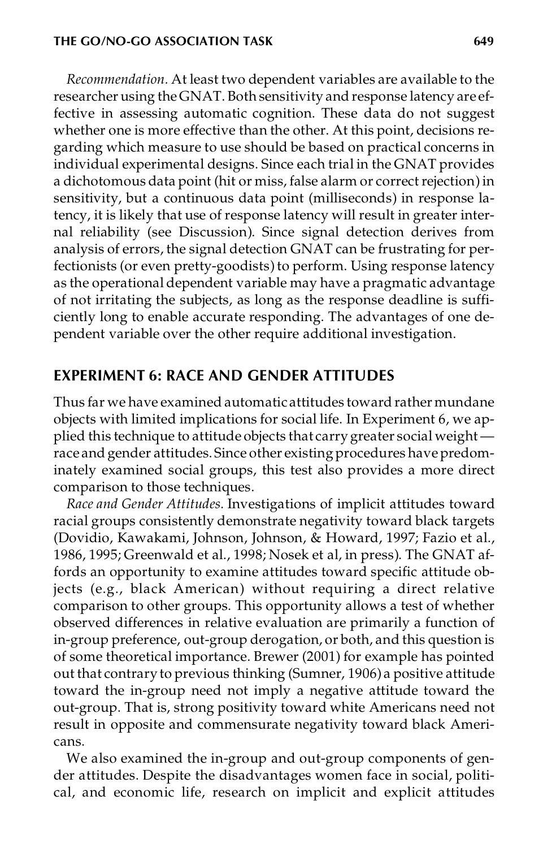#### **THE GO/NO-GO ASSOCIATION TASK 649**

*Recommendation.* At least two dependent variables are available to the researcher using theGNAT. Both sensitivity and response latency are effective in assessing automatic cognition. These data do not suggest whether one is more effective than the other. At this point, decisions regarding which measure to use should be based on practical concerns in individual experimental designs. Since each trial in the GNAT provides a dichotomous data point (hit or miss, false alarm or correct rejection) in sensitivity, but a continuous data point (milliseconds) in response latency, it is likely that use of response latency will result in greater internal reliability (see Discussion). Since signal detection derives from analysis of errors, the signal detection GNAT can be frustrating for perfectionists (or even pretty-goodists) to perform. Using response latency as the operational dependent variable may have a pragmatic advantage of not irritating the subjects, as long as the response deadline is sufficiently long to enable accurate responding. The advantages of one dependent variable over the other require additional investigation.

## **EXPERIMENT 6: RACE AND GENDER ATTITUDES**

Thus far we have examined automaticattitudes toward rather mundane objects with limited implications for social life. In Experiment 6, we applied this technique to attitude objects that carry greater social weight race and gender attitudes. Since other existing procedures have predominately examined social groups, this test also provides a more direct comparison to those techniques.

*Race and Gender Attitudes.* Investigations of implicit attitudes toward racial groups consistently demonstrate negativity toward black targets (Dovidio, Kawakami, Johnson, Johnson, & Howard, 1997; Fazio et al., 1986, 1995; Greenwald et al., 1998; Nosek et al, in press). The GNAT affords an opportunity to examine attitudes toward specific attitude objects (e.g., black American) without requiring a direct relative comparison to other groups. This opportunity allows a test of whether observed differences in relative evaluation are primarily a function of in-group preference, out-group derogation, or both, and this question is of some theoretical importance. Brewer (2001) for example has pointed out that contraryto previous thinking (Sumner, 1906) a positive attitude toward the in-group need not imply a negative attitude toward the out-group. That is, strong positivity toward white Americans need not result in opposite and commensurate negativity toward black Americans.

We also examined the in-group and out-group components of gender attitudes. Despite the disadvantages women face in social, political, and economic life, research on implicit and explicit attitudes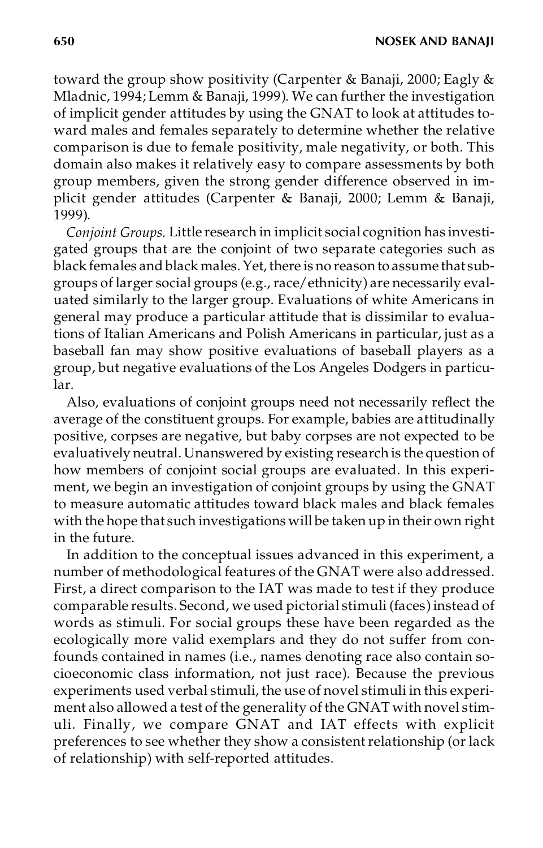toward the group show positivity (Carpenter & Banaji, 2000; Eagly & Mladnic, 1994; Lemm & Banaji, 1999). We can further the investigation of implicit gender attitudes by using the GNAT to look at attitudes toward males and females separately to determine whether the relative comparison is due to female positivity, male negativity, or both. This domain also makes it relatively easy to compare assessments by both group members, given the strong gender difference observed in implicit gender attitudes (Carpenter & Banaji, 2000; Lemm & Banaji, 1999).

*Conjoint Groups.* Little research in implicit social cognition has investigated groups that are the conjoint of two separate categories such as black females and black males. Yet, there is no reason to assume that subgroups of larger social groups (e.g., race/ethnicity) are necessarily evaluated similarly to the larger group. Evaluations of white Americans in general may produce a particular attitude that is dissimilar to evaluations of Italian Americans and Polish Americans in particular, just as a baseball fan may show positive evaluations of baseball players as a group, but negative evaluations of the Los Angeles Dodgers in particular.

Also, evaluations of conjoint groups need not necessarily reflect the average of the constituent groups. For example, babies are attitudinally positive, corpses are negative, but baby corpses are not expected to be evaluatively neutral. Unanswered by existing research is the question of how members of conjoint social groups are evaluated. In this experiment, we begin an investigation of conjoint groups by using the GNAT to measure automatic attitudes toward black males and black females with the hope that such investigations will be taken up in their own right in the future.

In addition to the conceptual issues advanced in this experiment, a number of methodological features of the GNAT were also addressed. First, a direct comparison to the IAT was made to test if they produce comparable results. Second, we used pictorial stimuli (faces) instead of words as stimuli. For social groups these have been regarded as the ecologically more valid exemplars and they do not suffer from confounds contained in names (i.e., names denoting race also contain socioeconomic class information, not just race). Because the previous experiments used verbal stimuli, the use of novel stimuli in this experiment also allowed a test of the generality of the GNAT with novel stimuli. Finally, we compare GNAT and IAT effects with explicit preferences to see whether they show a consistent relationship (or lack of relationship) with self-reported attitudes.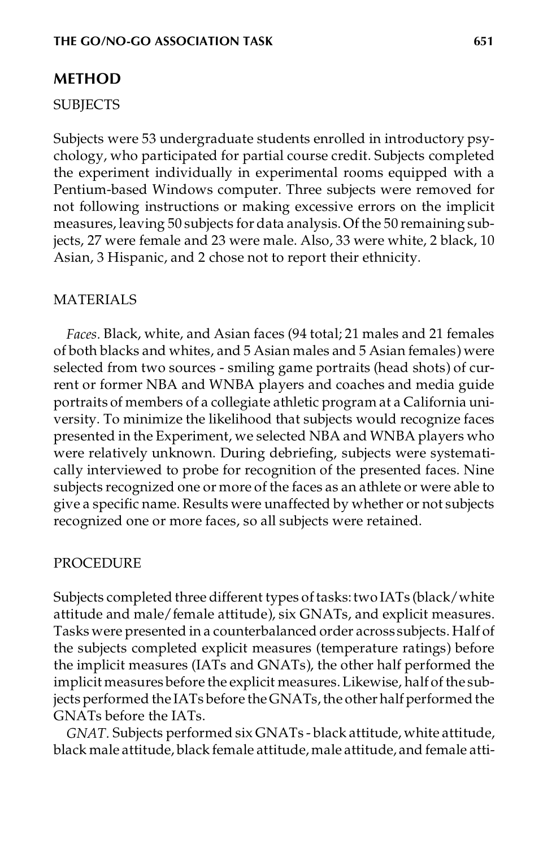## **METHOD**

#### SUBJECTS

Subjects were 53 undergraduate students enrolled in introductory psychology, who participated for partial course credit. Subjects completed the experiment individually in experimental rooms equipped with a Pentium-based Windows computer. Three subjects were removed for not following instructions or making excessive errors on the implicit measures, leaving 50 subjects for data analysis. Of the 50 remaining subjects, 27 were female and 23 were male. Also, 33 were white, 2 black, 10 Asian, 3 Hispanic, and 2 chose not to report their ethnicity.

#### MATERIALS

*Faces.* Black, white, and Asian faces (94 total; 21 males and 21 females of both blacks and whites, and 5 Asian males and 5 Asian females) were selected from two sources - smiling game portraits (head shots) of current or former NBA and WNBA players and coaches and media guide portraits of members of a collegiate athletic program at a California university. To minimize the likelihood that subjects would recognize faces presented in the Experiment, we selected NBA and WNBA players who were relatively unknown. During debriefing, subjects were systematically interviewed to probe for recognition of the presented faces. Nine subjects recognized one or more of the faces as an athlete or were able to give a specific name. Results were unaffected by whether or not subjects recognized one or more faces, so all subjects were retained.

#### PROCEDURE

Subjects completed three different types of tasks: two IATs (black/white attitude and male/female attitude), six GNATs, and explicit measures. Tasks were presented in a counterbalanced order across subjects. Half of the subjects completed explicit measures (temperature ratings) before the implicit measures (IATs and GNATs), the other half performed the implicit measures before the explicit measures.Likewise, half of the subjects performed the IATs before the GNATs, the other half performed the GNATs before the IATs.

*GNAT.* Subjects performed six GNATs - black attitude, white attitude, black male attitude, black female attitude,male attitude, and female atti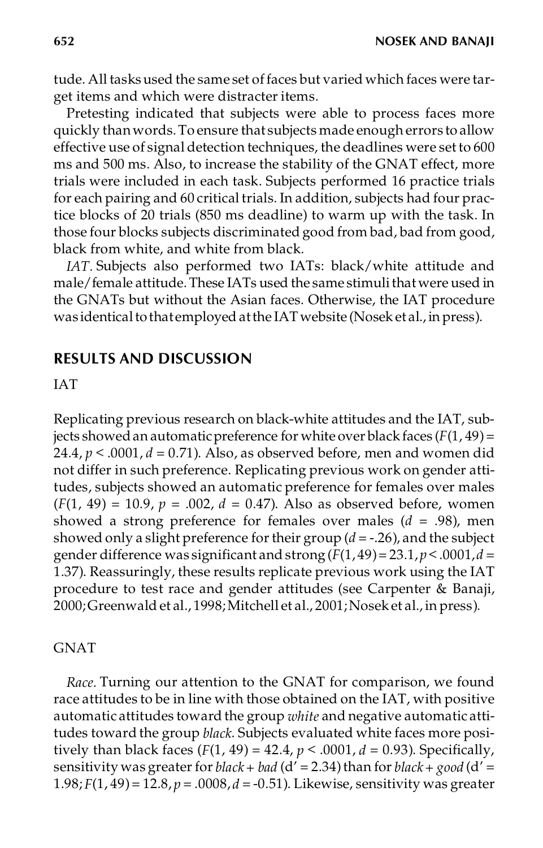tude. All tasksused the same set offaces but varied which faces were target items and which were distracter items.

Pretesting indicated that subjects were able to process faces more quickly thanwords.To ensure that subjects made enough errors to allow effective use of signal detection techniques, the deadlines were setto 600 ms and 500 ms. Also, to increase the stability of the GNAT effect, more trials were included in each task. Subjects performed 16 practice trials for each pairing and 60 critical trials. In addition, subjects had four practice blocks of 20 trials (850 ms deadline) to warm up with the task. In those four blocks subjects discriminated good from bad, bad from good, black from white, and white from black.

*IAT.* Subjects also performed two IATs: black/white attitude and male/female attitude. These IATs used the same stimuli that were used in the GNATs but without the Asian faces. Otherwise, the IAT procedure was identical to that employed at the IAT website (Nosek et al., in press).

### **RESULTS AND DISCUSSION**

#### IAT

Replicating previous research on black-white attitudes and the IAT, subjects showed an automatic preference for white over black faces  $(F(1, 49) =$ 24.4,  $p < .0001$ ,  $d = 0.71$ ). Also, as observed before, men and women did not differ in such preference. Replicating previous work on gender attitudes, subjects showed an automatic preference for females over males  $(F(1, 49) = 10.9, p = .002, d = 0.47)$ . Also as observed before, women showed a strong preference for females over males (*d* = .98), men showed only a slight preference for their group  $(d = -0.26)$ , and the subject gender difference was significant and strong (*F*(1, 49)= 23.1,*p* < .0001,*d* = 1.37). Reassuringly, these results replicate previous work using the IAT procedure to test race and gender attitudes (see Carpenter & Banaji, 2000;Greenwald et al., 1998;Mitchell et al., 2001;Nosek et al., in press).

#### GNAT

*Race.* Turning our attention to the GNAT for comparison, we found race attitudes to be in line with those obtained on the IAT, with positive automatic attitudes toward the group *white* and negative automatic attitudes toward the group *black*. Subjects evaluated white faces more positively than black faces (*F*(1, 49) = 42.4, *p* < .0001, *d* = 0.93). Specifically, sensitivity was greater for *black* + *bad* ( $d'$  = 2.34) than for *black* + *good* ( $d'$  = 1.98; *F*(1, 49)= 12.8, *p* = .0008, *d* = -0.51). Likewise, sensitivity was greater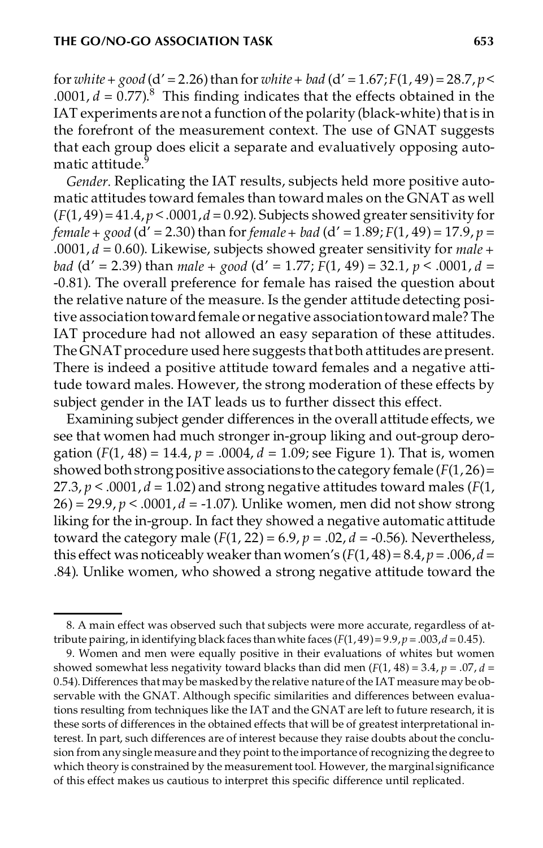for *white* + *good* (d' = 2.26) than for *white* + *bad* (d' = 1.67;  $F(1, 49) = 28.7, p <$ .0001,  $d = 0.77$ ).<sup>8</sup> This finding indicates that the effects obtained in the IAT experiments are not a function of the polarity (black-white) that is in the forefront of the measurement context. The use of GNAT suggests that each group does elicit a separate and evaluatively opposing automatic attitude.<sup>9</sup>

*Gender.* Replicating the IAT results, subjects held more positive automatic attitudes toward females than toward males on the GNAT as well  $(F(1, 49) = 41.4, p < .0001, d = 0.92)$ . Subjects showed greater sensitivity for *female* + *good* ( $d'$  = 2.30) than for *female* + *bad* ( $d'$  = 1.89; *F*(1, 49) = 17.9, *p* = .0001, *d* = 0.60). Likewise, subjects showed greater sensitivity for *male + bad* (d' = 2.39) than *male + good* (d' = 1.77; *F*(1, 49) = 32.1, *p* < .0001, *d* = -0.81). The overall preference for female has raised the question about the relative nature of the measure. Is the gender attitude detecting positive associationtowardfemale or negative associationtowardmale? The IAT procedure had not allowed an easy separation of these attitudes. The GNAT procedure used here suggests that both attitudes arepresent. There is indeed a positive attitude toward females and a negative attitude toward males. However, the strong moderation of these effects by subject gender in the IAT leads us to further dissect this effect.

Examining subject gender differences in the overall attitude effects, we see that women had much stronger in-group liking and out-group derogation (*F*(1, 48) = 14.4, *p* = .0004, *d* = 1.09; see Figure 1). That is, women showed both strong positive associations to the category female ( $F(1, 26)$ ) = 27.3,  $p < .0001$ ,  $d = 1.02$ ) and strong negative attitudes toward males ( $F(1)$ , 26) = 29.9, *p* < .0001, *d* = -1.07). Unlike women, men did not show strong liking for the in-group. In fact they showed a negative automatic attitude toward the category male  $(F(1, 22) = 6.9, p = .02, d = -0.56)$ . Nevertheless, this effect was noticeably weaker than women's  $(F(1, 48) = 8.4, p = .006, d =$ .84). Unlike women, who showed a strong negative attitude toward the

<sup>8.</sup> A main effect was observed such that subjects were more accurate, regardless of attribute pairing, in identifying black faces than white faces  $(F(1, 49) = 9.9, p = .003, d = 0.45)$ .

<sup>9.</sup> Women and men were equally positive in their evaluations of whites but women showed somewhat less negativity toward blacks than did men  $(F(1, 48) = 3.4, p = .07, d =$ 0.54).Differences thatmay be maskedby the relative nature of the IAT measure may be observable with the GNAT. Although specific similarities and differences between evaluations resulting from techniques like the IAT and the GNAT are left to future research, it is these sorts of differences in the obtained effects that will be of greatest interpretational interest. In part, such differences are of interest because they raise doubts about the conclusion from anysingle measure and they point to the importance ofrecognizing the degree to which theory is constrained by the measurement tool. However, the marginal significance of this effect makes us cautious to interpret this specific difference until replicated.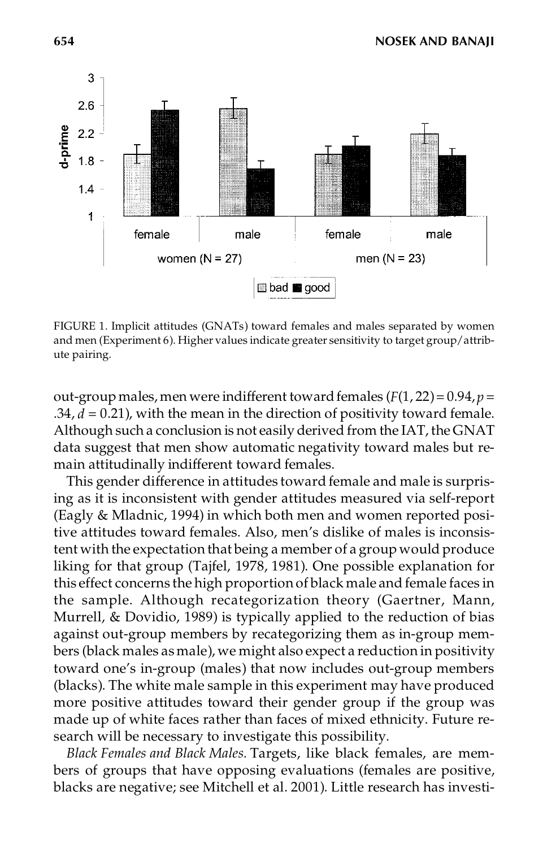

FIGURE 1.Implicit attitudes (GNATs) toward females and males separated by women and men (Experiment 6). Higher values indicate greater sensitivity to target group/attribute pairing.

out-group males, men were indifferent toward females  $(F(1, 22) = 0.94, p =$  $.34, d = 0.21$ ), with the mean in the direction of positivity toward female. Although such a conclusion is not easily derived from the IAT, the GNAT data suggest that men show automatic negativity toward males but remain attitudinally indifferent toward females.

This gender difference in attitudes toward female and male is surprising as it is inconsistent with gender attitudes measured via self-report (Eagly & Mladnic, 1994) in which both men and women reported positive attitudes toward females. Also, men's dislike of males is inconsistent with the expectation that being a member of a group would produce liking for that group (Tajfel, 1978, 1981). One possible explanation for this effect concerns the high proportion of black male and female faces in the sample. Although recategorization theory (Gaertner, Mann, Murrell, & Dovidio, 1989) is typically applied to the reduction of bias against out-group members by recategorizing them as in-group members (black males as male), we might also expect a reduction in positivity toward one's in-group (males) that now includes out-group members (blacks). The white male sample in this experiment may have produced more positive attitudes toward their gender group if the group was made up of white faces rather than faces of mixed ethnicity. Future research will be necessary to investigate this possibility.

*Black Females and Black Males.* Targets, like black females, are members of groups that have opposing evaluations (females are positive, blacks are negative; see Mitchell et al. 2001). Little research has investi-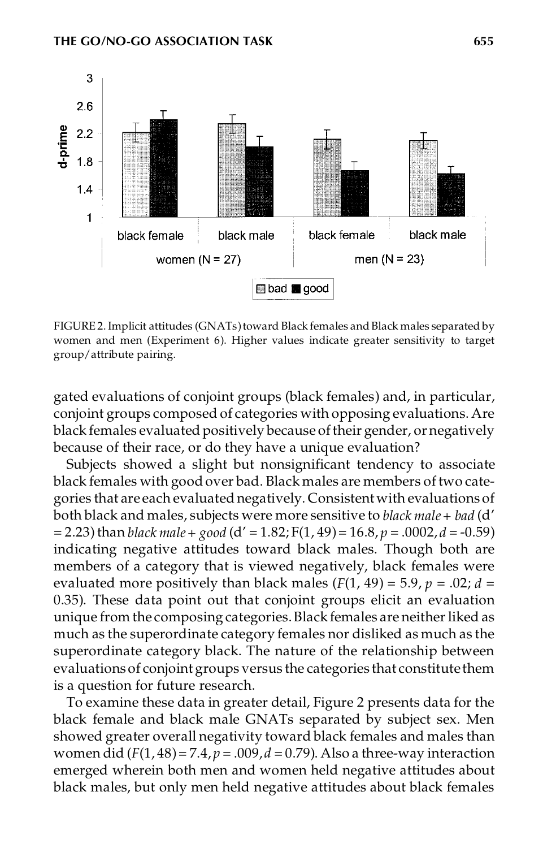

FIGURE 2.Implicit attitudes (GNATs)toward Black females and Black males separated by women and men (Experiment 6). Higher values indicate greater sensitivity to target group/attribute pairing.

gated evaluations of conjoint groups (black females) and, in particular, conjoint groups composed of categories with opposing evaluations. Are black females evaluated positively because of their gender, or negatively because of their race, or do they have a unique evaluation?

Subjects showed a slight but nonsignificant tendency to associate black females with good over bad. Black males are members of two categories that are each evaluated negatively. Consistent with evaluations of both black and males, subjects were more sensitive to *black male+ bad* (d'  $= 2.23$ ) than *black male* + *good* (d' = 1.82; F(1, 49) = 16.8, *p* = .0002, *d* = -0.59) indicating negative attitudes toward black males. Though both are members of a category that is viewed negatively, black females were evaluated more positively than black males  $(F(1, 49) = 5.9, p = .02; d =$ 0.35). These data point out that conjoint groups elicit an evaluation unique from the composing categories. Black females are neither liked as much as the superordinate category females nor disliked as much as the superordinate category black. The nature of the relationship between evaluations of conjoint groups versus the categories that constitute them is a question for future research.

To examine these data in greater detail, Figure 2 presents data for the black female and black male GNATs separated by subject sex. Men showed greater overall negativity toward black females and males than women did  $(F(1, 48) = 7.4, p = .009, d = 0.79)$ . Also a three-way interaction emerged wherein both men and women held negative attitudes about black males, but only men held negative attitudes about black females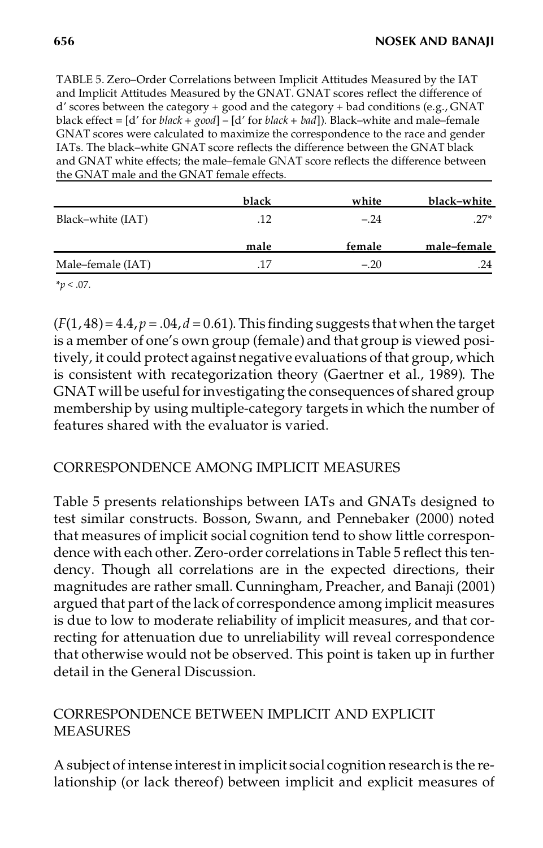TABLE 5. Zero–Order Correlations between Implicit Attitudes Measured by the IAT and Implicit Attitudes Measured by the GNAT. GNAT scores reflect the difference of d' scores between the category + good and the category + bad conditions (e.g., GNAT black effect = [d' for *black + good*] – [d' for *black + bad*]). Black–white and male–female GNAT scores were calculated to maximize the correspondence to the race and gender IATs. The black–white GNAT score reflects the difference between the GNAT black and GNAT white effects; the male–female GNAT score reflects the difference between the GNAT male and the GNAT female effects.

|                   | black | white  | black–white |
|-------------------|-------|--------|-------------|
| Black-white (IAT) | .12   | $-.24$ | $.27*$      |
|                   | male  | female | male-female |
| Male-female (IAT) | .17   | $-.20$ | .24         |
|                   |       |        |             |

 $(F(1, 48) = 4.4, p = .04, d = 0.61)$ . This finding suggests that when the target is a member of one's own group (female) and that group is viewed positively, it could protect against negative evaluations of that group, which is consistent with recategorization theory (Gaertner et al., 1989). The GNAT will be useful forinvestigating the consequences of shared group membership by using multiple-category targets in which the number of features shared with the evaluator is varied.

## CORRESPONDENCE AMONG IMPLICIT MEASURES

Table 5 presents relationships between IATs and GNATs designed to test similar constructs. Bosson, Swann, and Pennebaker (2000) noted that measures of implicit social cognition tend to show little correspondence with each other. Zero-order correlations in Table 5 reflect this tendency. Though all correlations are in the expected directions, their magnitudes are rather small. Cunningham, Preacher, and Banaji (2001) argued that part of the lack of correspondence among implicit measures is due to low to moderate reliability of implicit measures, and that correcting for attenuation due to unreliability will reveal correspondence that otherwise would not be observed. This point is taken up in further detail in the General Discussion.

# CORRESPONDENCE BETWEEN IMPLICIT AND EXPLICIT MEASURES

A subject of intense interestin implicit social cognition research is the relationship (or lack thereof) between implicit and explicit measures of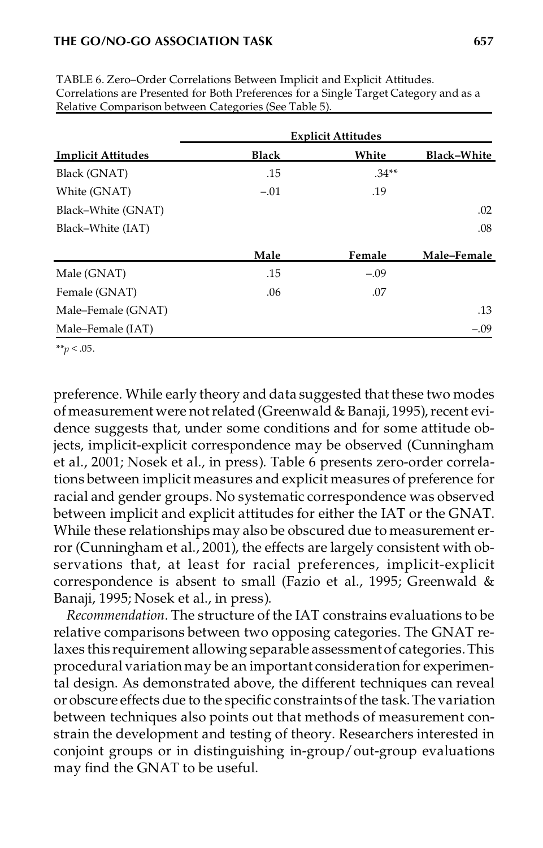#### **THE GO/NO-GO ASSOCIATION TASK 657**

|                           | <b>Explicit Attitudes</b> |         |             |  |  |
|---------------------------|---------------------------|---------|-------------|--|--|
| <b>Implicit Attitudes</b> | <b>Black</b>              | White   | Black-White |  |  |
| Black (GNAT)              | .15                       | $.34**$ |             |  |  |
| White (GNAT)              | $-.01$                    | .19     |             |  |  |
| Black-White (GNAT)        |                           |         | .02         |  |  |
| Black-White (IAT)         |                           |         | .08         |  |  |
|                           | Male                      | Female  | Male-Female |  |  |
| Male (GNAT)               | .15                       | $-.09$  |             |  |  |
| Female (GNAT)             | .06                       | .07     |             |  |  |
| Male-Female (GNAT)        |                           |         | .13         |  |  |
| Male-Female (IAT)         |                           |         | $-.09$      |  |  |

TABLE 6. Zero–Order Correlations Between Implicit and Explicit Attitudes. Correlations are Presented for Both Preferences for a Single Target Category and as a Relative Comparison between Categories (See Table 5).

\*\**p* < .05.

preference. While early theory and data suggested that these two modes of measurement were not related (Greenwald & Banaji, 1995), recent evidence suggests that, under some conditions and for some attitude objects, implicit-explicit correspondence may be observed (Cunningham et al., 2001; Nosek et al., in press). Table 6 presents zero-order correlations between implicit measures and explicit measures of preference for racial and gender groups. No systematic correspondence was observed between implicit and explicit attitudes for either the IAT or the GNAT. While these relationships may also be obscured due to measurement error (Cunningham et al., 2001), the effects are largely consistent with observations that, at least for racial preferences, implicit-explicit correspondence is absent to small (Fazio et al., 1995; Greenwald & Banaji, 1995; Nosek et al., in press).

*Recommendation.* The structure of the IAT constrains evaluations to be relative comparisons between two opposing categories. The GNAT relaxes this requirement allowing separable assessmentof categories.This procedural variation may be an important consideration for experimental design. As demonstrated above, the different techniques can reveal or obscure effects due to the specific constraintsof the task.The variation between techniques also points out that methods of measurement constrain the development and testing of theory. Researchers interested in conjoint groups or in distinguishing in-group/out-group evaluations may find the GNAT to be useful.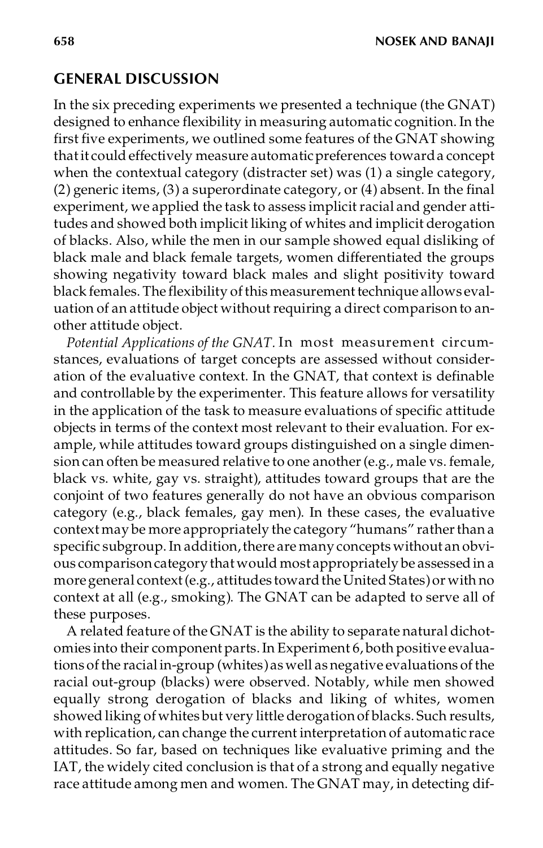### **GENERAL DISCUSSION**

In the six preceding experiments we presented a technique (the GNAT) designed to enhance flexibility in measuring automatic cognition. In the first five experiments, we outlined some features of the GNAT showing thatit could effectively measure automaticpreferences towarda concept when the contextual category (distracter set) was (1) a single category, (2) generic items, (3) a superordinate category, or (4) absent. In the final experiment, we applied the task to assess implicit racial and gender attitudes and showed both implicit liking of whites and implicit derogation of blacks. Also, while the men in our sample showed equal disliking of black male and black female targets, women differentiated the groups showing negativity toward black males and slight positivity toward black females. The flexibility of this measurement technique allows evaluation of an attitude object without requiring a direct comparison to another attitude object.

*Potential Applications of the GNAT.* In most measurement circumstances, evaluations of target concepts are assessed without consideration of the evaluative context. In the GNAT, that context is definable and controllable by the experimenter. This feature allows for versatility in the application of the task to measure evaluations of specific attitude objects in terms of the context most relevant to their evaluation. For example, while attitudes toward groups distinguished on a single dimension can often be measured relative to one another (e.g., male vs. female, black vs. white, gay vs. straight), attitudes toward groups that are the conjoint of two features generally do not have an obvious comparison category (e.g., black females, gay men). In these cases, the evaluative context may be more appropriately the category "humans" rather than a specific subgroup. In addition, there are many concepts without an obvious comparison category that would most appropriately be assessed in a more general context (e.g., attitudes toward the United States) or with no context at all (e.g., smoking). The GNAT can be adapted to serve all of these purposes.

A related feature of the GNAT is the ability to separate natural dichotomies into their component parts.In Experiment 6, both positive evaluations ofthe racialin-group (whites)as well as negative evaluations of the racial out-group (blacks) were observed. Notably, while men showed equally strong derogation of blacks and liking of whites, women showed liking of whites but very little derogationof blacks. Such results, with replication, can change the current interpretation of automatic race attitudes. So far, based on techniques like evaluative priming and the IAT, the widely cited conclusion is that of a strong and equally negative race attitude among men and women. The GNAT may, in detecting dif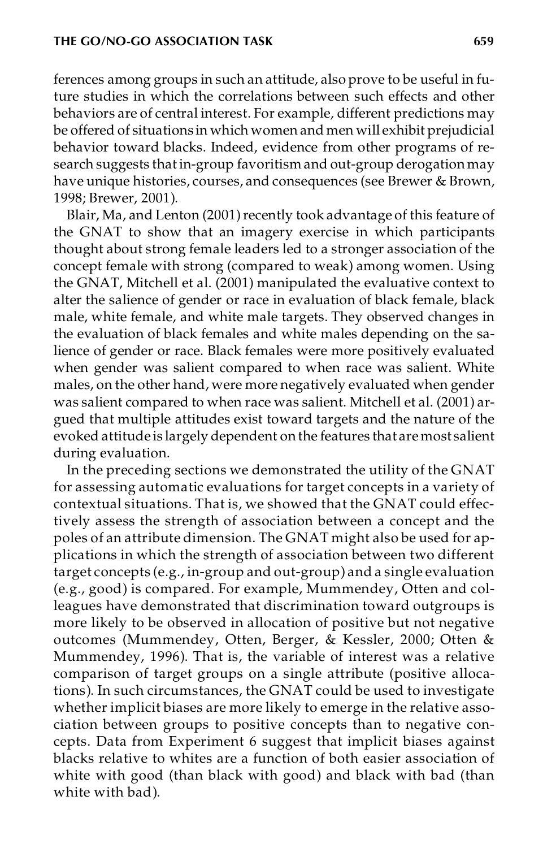ferences among groups in such an attitude, also prove to be useful in future studies in which the correlations between such effects and other behaviors are of central interest. For example, different predictions may be offered of situations in which women and men will exhibit prejudicial behavior toward blacks. Indeed, evidence from other programs of research suggests that in-group favoritism and out-group derogation may have unique histories, courses, and consequences (see Brewer & Brown, 1998; Brewer, 2001).

Blair, Ma, and Lenton (2001) recently took advantage of this feature of the GNAT to show that an imagery exercise in which participants thought about strong female leaders led to a stronger association of the concept female with strong (compared to weak) among women. Using the GNAT, Mitchell et al. (2001) manipulated the evaluative context to alter the salience of gender or race in evaluation of black female, black male, white female, and white male targets. They observed changes in the evaluation of black females and white males depending on the salience of gender or race. Black females were more positively evaluated when gender was salient compared to when race was salient. White males, on the other hand, were more negatively evaluated when gender was salient compared to when race was salient. Mitchell et al. (2001) argued that multiple attitudes exist toward targets and the nature of the evoked attitude is largely dependent onthe features that aremost salient during evaluation.

In the preceding sections we demonstrated the utility of the GNAT for assessing automatic evaluations for target concepts in a variety of contextual situations. That is, we showed that the GNAT could effectively assess the strength of association between a concept and the poles of an attribute dimension. The GNAT might also be used for applications in which the strength of association between two different target concepts (e.g., in-group and out-group) and a single evaluation (e.g., good) is compared. For example, Mummendey, Otten and colleagues have demonstrated that discrimination toward outgroups is more likely to be observed in allocation of positive but not negative outcomes (Mummendey, Otten, Berger, & Kessler, 2000; Otten & Mummendey, 1996). That is, the variable of interest was a relative comparison of target groups on a single attribute (positive allocations). In such circumstances, the GNAT could be used to investigate whether implicit biases are more likely to emerge in the relative association between groups to positive concepts than to negative concepts. Data from Experiment 6 suggest that implicit biases against blacks relative to whites are a function of both easier association of white with good (than black with good) and black with bad (than white with bad).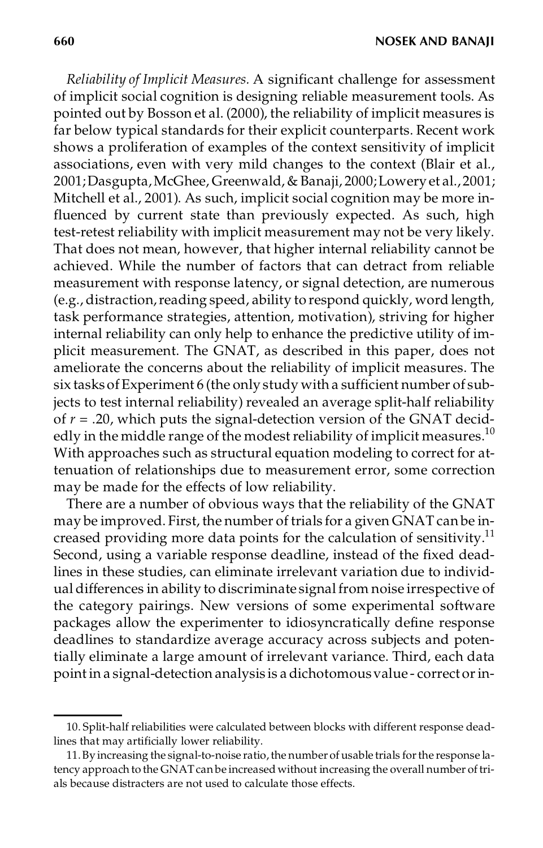**660 NOSEK AND BANAJI**

*Reliability of Implicit Measures.* A significant challenge for assessment of implicit social cognition is designing reliable measurement tools. As pointed out by Bosson et al. (2000), the reliability of implicit measures is far below typical standards for their explicit counterparts. Recent work shows a proliferation of examples of the context sensitivity of implicit associations, even with very mild changes to the context (Blair et al., 2001;Dasgupta,McGhee, Greenwald, & Banaji, 2000;Lowery et al.,2001; Mitchell et al., 2001). As such, implicit social cognition may be more influenced by current state than previously expected. As such, high test-retest reliability with implicit measurement may not be very likely. That does not mean, however, that higher internal reliability cannot be achieved. While the number of factors that can detract from reliable measurement with response latency, or signal detection, are numerous (e.g., distraction,reading speed, ability to respond quickly, word length, task performance strategies, attention, motivation), striving for higher internal reliability can only help to enhance the predictive utility of implicit measurement. The GNAT, as described in this paper, does not ameliorate the concerns about the reliability of implicit measures. The six tasks of Experiment 6 (the only study with a sufficient number of subjects to test internal reliability) revealed an average split-half reliability of  $r = .20$ , which puts the signal-detection version of the GNAT decidedly in the middle range of the modest reliability of implicit measures.<sup>10</sup> With approaches such as structural equation modeling to correct for attenuation of relationships due to measurement error, some correction may be made for the effects of low reliability.

There are a number of obvious ways that the reliability of the GNAT may be improved. First, the number of trials for a given GNAT can be increased providing more data points for the calculation of sensitivity.<sup>11</sup> Second, using a variable response deadline, instead of the fixed deadlines in these studies, can eliminate irrelevant variation due to individual differences in ability to discriminate signal from noise irrespective of the category pairings. New versions of some experimental software packages allow the experimenter to idiosyncratically define response deadlines to standardize average accuracy across subjects and potentially eliminate a large amount of irrelevant variance. Third, each data point in a signal-detection analysis is a dichotomousvalue - correct orin-

<sup>10.</sup> Split-half reliabilities were calculated between blocks with different response deadlines that may artificially lower reliability.

<sup>11.</sup> By increasing the signal-to-noise ratio, the number of usable trials for the response latency approach to the GNAT can be increased without increasing the overall number of trials because distracters are not used to calculate those effects.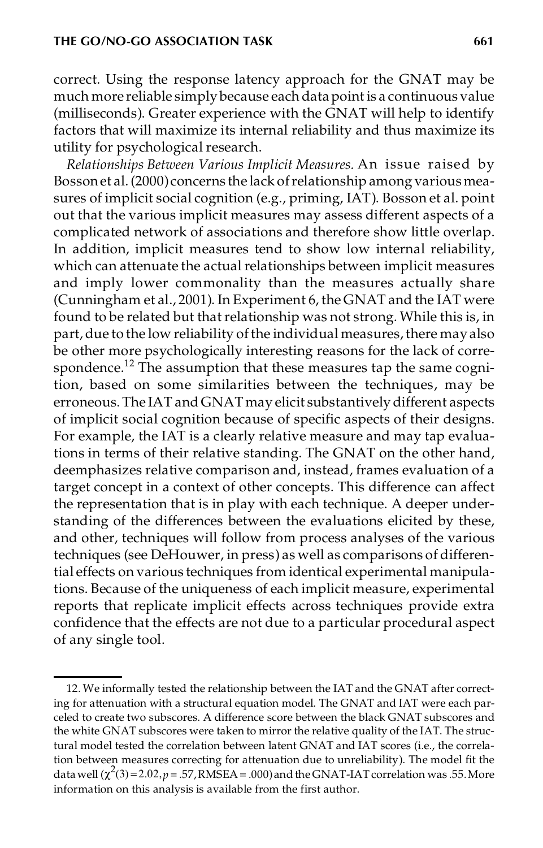correct. Using the response latency approach for the GNAT may be much more reliable simply because each datapoint is a continuous value (milliseconds). Greater experience with the GNAT will help to identify factors that will maximize its internal reliability and thus maximize its utility for psychological research.

*Relationships Between Various Implicit Measures.* An issue raised by Bosson et al. (2000) concerns the lack of relationship among various measures of implicit social cognition (e.g., priming, IAT). Bosson et al. point out that the various implicit measures may assess different aspects of a complicated network of associations and therefore show little overlap. In addition, implicit measures tend to show low internal reliability, which can attenuate the actual relationships between implicit measures and imply lower commonality than the measures actually share (Cunningham et al., 2001). In Experiment 6, the GNAT and the IAT were found to be related but that relationship was not strong. While this is, in part, due to the low reliability of the individual measures, there may also be other more psychologically interesting reasons for the lack of correspondence.<sup>12</sup> The assumption that these measures tap the same cognition, based on some similarities between the techniques, may be erroneous. The IAT and GNAT may elicit substantively different aspects of implicit social cognition because of specific aspects of their designs. For example, the IAT is a clearly relative measure and may tap evaluations in terms of their relative standing. The GNAT on the other hand, deemphasizes relative comparison and, instead, frames evaluation of a target concept in a context of other concepts. This difference can affect the representation that is in play with each technique. A deeper understanding of the differences between the evaluations elicited by these, and other, techniques will follow from process analyses of the various techniques (see DeHouwer, in press) as well as comparisons of differential effects on various techniques from identical experimental manipulations. Because of the uniqueness of each implicit measure, experimental reports that replicate implicit effects across techniques provide extra confidence that the effects are not due to a particular procedural aspect of any single tool.

<sup>12.</sup> We informally tested the relationship between the IAT and the GNAT after correcting for attenuation with a structural equation model. The GNAT and IAT were each parceled to create two subscores. A difference score between the black GNAT subscores and the white GNAT subscores were taken to mirror the relative quality of the IAT. The structural model tested the correlation between latent GNAT and IAT scores (i.e., the correlation between measures correcting for attenuation due to unreliability). The model fit the data well  $(\chi^2(3)=2.02, p=.57, RMSEA=.000)$  and the GNAT-IAT correlation was .55. More information on this analysis is available from the first author.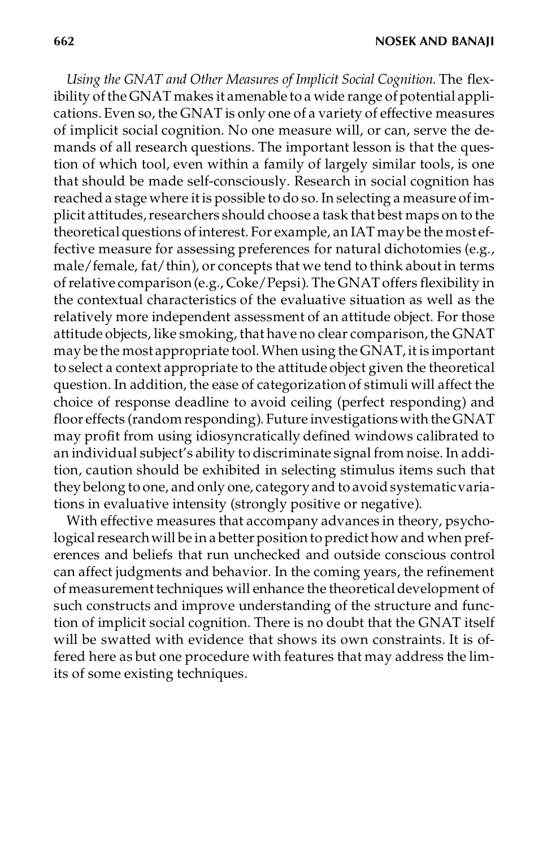**662 NOSEK AND BANAJI**

*Using the GNAT and Other Measures of Implicit Social Cognition.* The flexibility of the GNAT makes it amenable to a wide range of potential applications.Even so, the GNAT is only one of a variety of effective measures of implicit social cognition. No one measure will, or can, serve the demands of all research questions. The important lesson is that the question of which tool, even within a family of largely similar tools, is one that should be made self-consciously. Research in social cognition has reached a stage where it is possible to do so. In selecting a measure ofimplicit attitudes, researchers should choose a task that best maps on to the theoretical questions of interest. For example, an IAT maybe the most effective measure for assessing preferences for natural dichotomies (e.g., male/female, fat/thin), or concepts that we tend to think about in terms ofrelative comparison(e.g., Coke/Pepsi). The GNAT offers flexibility in the contextual characteristics of the evaluative situation as well as the relatively more independent assessment of an attitude object. For those attitude objects, like smoking, that have no clear comparison, the GNAT may be the most appropriate tool.When using the GNAT, it is important to select a context appropriate to the attitude object given the theoretical question. In addition, the ease of categorization of stimuli will affect the choice of response deadline to avoid ceiling (perfect responding) and floor effects (random responding). Future investigationswith theGNAT may profit from using idiosyncratically defined windows calibrated to an individual subject's ability to discriminate signal from noise. In addition, caution should be exhibited in selecting stimulus items such that they belong to one, and only one, category and to avoid systematic variations in evaluative intensity (strongly positive or negative).

With effective measures that accompany advances in theory, psychological research will be in a better position to predict how and when preferences and beliefs that run unchecked and outside conscious control can affect judgments and behavior. In the coming years, the refinement of measurement techniques will enhance the theoretical development of such constructs and improve understanding of the structure and function of implicit social cognition. There is no doubt that the GNAT itself will be swatted with evidence that shows its own constraints. It is offered here as but one procedure with features that may address the limits of some existing techniques.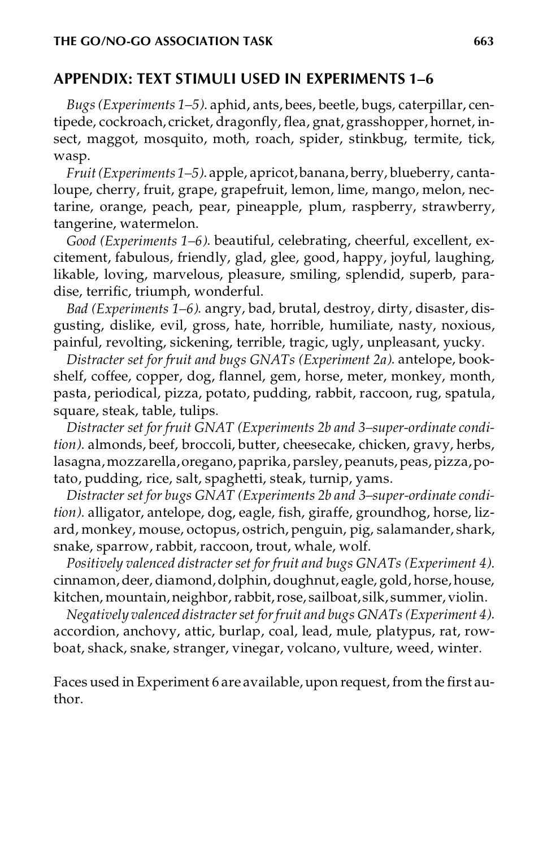## **APPENDIX: TEXT STIMULI USED IN EXPERIMENTS 1–6**

*Bugs(Experiments 1–5)*. aphid, ants, bees, beetle, bugs, caterpillar, centipede, cockroach, cricket, dragonfly, flea, gnat, grasshopper, hornet, insect, maggot, mosquito, moth, roach, spider, stinkbug, termite, tick, wasp.

*Fruit(Experiments 1–5)*. apple, apricot,banana, berry, blueberry, cantaloupe, cherry, fruit, grape, grapefruit, lemon, lime, mango, melon, nectarine, orange, peach, pear, pineapple, plum, raspberry, strawberry, tangerine, watermelon.

*Good (Experiments 1–6)*. beautiful, celebrating, cheerful, excellent, excitement, fabulous, friendly, glad, glee, good, happy, joyful, laughing, likable, loving, marvelous, pleasure, smiling, splendid, superb, paradise, terrific, triumph, wonderful.

*Bad (Experiments 1–6)*. angry, bad, brutal, destroy, dirty, disaster, disgusting, dislike, evil, gross, hate, horrible, humiliate, nasty, noxious, painful, revolting, sickening, terrible, tragic, ugly, unpleasant, yucky.

*Distracter set for fruit and bugs GNATs (Experiment 2a)*. antelope, bookshelf, coffee, copper, dog, flannel, gem, horse, meter, monkey, month, pasta, periodical, pizza, potato, pudding, rabbit, raccoon, rug, spatula, square, steak, table, tulips.

*Distracter set for fruit GNAT (Experiments 2b and 3–super-ordinate condition)*. almonds, beef, broccoli, butter, cheesecake, chicken, gravy, herbs, lasagna,mozzarella,oregano,paprika, parsley, peanuts, peas, pizza,potato, pudding, rice, salt, spaghetti, steak, turnip, yams.

*Distracter set for bugs GNAT (Experiments 2b and 3–super-ordinate condition)*. alligator, antelope, dog, eagle, fish, giraffe, groundhog, horse, lizard, monkey, mouse, octopus, ostrich, penguin, pig, salamander, shark, snake, sparrow, rabbit, raccoon, trout, whale, wolf.

*Positively valenced distracter set for fruit and bugs GNATs (Experiment 4)*. cinnamon, deer, diamond, dolphin, doughnut, eagle, gold, horse, house, kitchen, mountain, neighbor, rabbit, rose, sailboat, silk, summer, violin.

*Negatively valenced distracterset forfruit and bugs GNATs(Experiment 4)*. accordion, anchovy, attic, burlap, coal, lead, mule, platypus, rat, rowboat, shack, snake, stranger, vinegar, volcano, vulture, weed, winter.

Faces used in Experiment 6 are available, upon request, from the first author.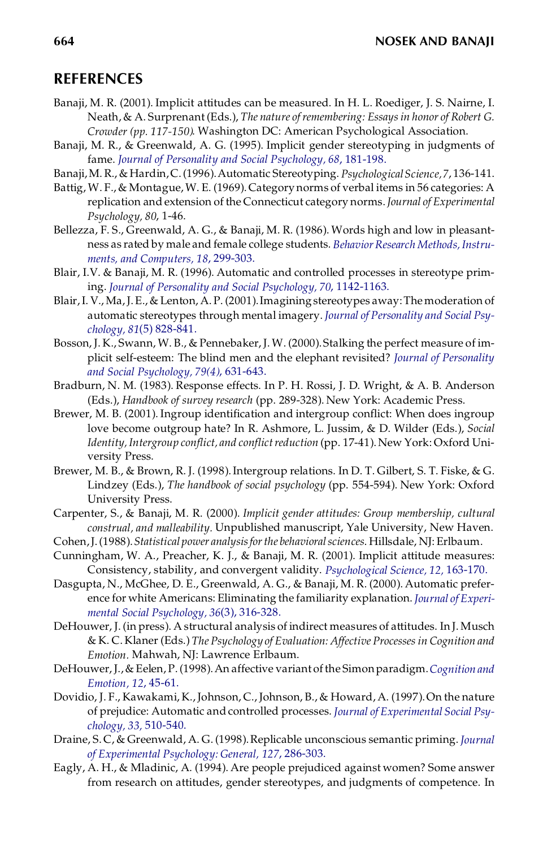#### **REFERENCES**

- Banaji, M. R. (2001). Implicit attitudes can be measured. In H. L. Roediger, J. S. Nairne, I. Neath,& A. Surprenant(Eds.), *The nature ofremembering: Essaysin honor of Robert G. Crowder (pp. 117-150)*. Washington DC: American Psychological Association.
- Banaji, M. R., & Greenwald, A. G. (1995). Implicit gender stereotyping in judgments of fame. *[Journal of Personality and Social Psychology, 68](http://pippo.ingentaselect.com/nw=1/rpsv/cgi-bin/linker?ext=a&reqidx=/0022-3514^28^2968L.181[aid=296742])*, 181-198.
- Banaji,M. R., & Hardin,C.(1996).Automatic Stereotyping. *PsychologicalScience,7*, 136-141.
- Battig, W. F., & Montague,W. E. (1969). Category norms of verbal items in 56 categories: A replication and extension of the Connecticut category norms.*Journal of Experimental Psychology, 80*, 1-46.
- Bellezza, F. S., Greenwald, A. G., & Banaji, M. R. (1986). Words high and low in pleasant ness as rated by male and female college students. *[BehaviorResearch](http://pippo.ingentaselect.com/nw=1/rpsv/cgi-bin/linker?ext=a&reqidx=/0743-3808^28^2918L.299[aid=299483]) Methods,Instru[ments, and Computers, 18](http://pippo.ingentaselect.com/nw=1/rpsv/cgi-bin/linker?ext=a&reqidx=/0743-3808^28^2918L.299[aid=299483])*, 299-303.
- Blair, I.V. & Banaji, M. R. (1996). Automatic and controlled processes in stereotype priming. *[Journal of Personality and Social Psychology, 70](http://pippo.ingentaselect.com/nw=1/rpsv/cgi-bin/linker?ext=a&reqidx=/0022-3514^28^2970L.1142[aid=838028])*, 1142-1163.
- Blair, I. V., Ma, J. E., & Lenton, A. P. (2001). Imagining stereotypes away: The moderation of automatic stereotypes through mental imagery. *Journal of [Personality](http://pippo.ingentaselect.com/nw=1/rpsv/cgi-bin/linker?ext=a&reqidx=/0022-3514^28^2981:5L.828[aid=1988213]) and Social Psychology, 81*[\(5\) 828-841.](http://pippo.ingentaselect.com/nw=1/rpsv/cgi-bin/linker?ext=a&reqidx=/0022-3514^28^2981:5L.828[aid=1988213])
- Bosson, J. K., Swann, W. B., & Pennebaker, J. W. (2000). Stalking the perfect measure of implicit self-esteem: The blind men and the elephant revisited? *Journal of [Personality](http://pippo.ingentaselect.com/nw=1/rpsv/cgi-bin/linker?ext=a&reqidx=/0022-3514^28^2979:4L.631[aid=1988214]) [and Social Psychology, 79\(4\)](http://pippo.ingentaselect.com/nw=1/rpsv/cgi-bin/linker?ext=a&reqidx=/0022-3514^28^2979:4L.631[aid=1988214])*, 631-643.
- Bradburn, N. M. (1983). Response effects. In P. H. Rossi, J. D. Wright, & A. B. Anderson (Eds.), *Handbook of survey research* (pp. 289-328). New York: Academic Press.
- Brewer, M. B. (2001). Ingroup identification and intergroup conflict: When does ingroup love become outgroup hate? In R. Ashmore, L. Jussim, & D. Wilder (Eds.), *Social Identity,Intergroup conflict, and conflictreduction* (pp. 17-41). New York: Oxford University Press.
- Brewer, M. B., & Brown, R. J. (1998).Intergroup relations. In D. T. Gilbert, S. T. Fiske, & G. Lindzey (Eds.), *The handbook of social psychology* (pp. 554-594). New York: Oxford University Press.
- Carpenter, S., & Banaji, M. R. (2000). *Implicit gender attitudes: Group membership, cultural construal, and malleability.* Unpublished manuscript, Yale University, New Haven.
- Cohen,J.(1988).*Statistical power analysisforthe behavioralsciences*. Hillsdale, NJ: Erlbaum.
- Cunningham, W. A., Preacher, K. J., & Banaji, M. R. (2001). Implicit attitude measures: Consistency, stability, and convergent validity. *[Psychological Science, 12,](http://pippo.ingentaselect.com/nw=1/rpsv/cgi-bin/linker?ext=a&reqidx=/0956-7976^28^2912L.163[aid=1969546])* 163-170.
- Dasgupta, N., McGhee, D. E., Greenwald, A. G., & Banaji, M. R. (2000). Automatic prefer ence for white Americans: Eliminating the familiarity explanation. *Journal of [Experi](http://pippo.ingentaselect.com/nw=1/rpsv/cgi-bin/linker?ext=a&reqidx=/0022-1031^28^2936:3L.316[aid=1988215])[mental Social Psychology, 36](http://pippo.ingentaselect.com/nw=1/rpsv/cgi-bin/linker?ext=a&reqidx=/0022-1031^28^2936:3L.316[aid=1988215])*(3), 316-328.
- DeHouwer, J. (in press). A structural analysis of indirect measures of attitudes. In J. Musch & K. C. Klaner (Eds.) *The Psychology of Evaluation: Affective Processes in Cognition and Emotion.* Mahwah, NJ: Lawrence Erlbaum.
- DeHouwer, J.,& Eelen, P.(1998).An affective variant ofthe Simonparadigm.*[Cognition](http://pippo.ingentaselect.com/nw=1/rpsv/cgi-bin/linker?ext=a&reqidx=/0269-9931^28^2912L.45[aid=293839]) and [Emotion, 12](http://pippo.ingentaselect.com/nw=1/rpsv/cgi-bin/linker?ext=a&reqidx=/0269-9931^28^2912L.45[aid=293839])*, 45-61.
- Dovidio, J. F., Kawakami, K., Johnson, C., Johnson, B., & Howard, A. (1997). On the nature of prejudice: Automatic and controlled processes. *Journal of [Experimental](http://pippo.ingentaselect.com/nw=1/rpsv/cgi-bin/linker?ext=a&reqidx=/0022-1031^28^2933L.510[aid=213658]) Social Psy[chology, 33,](http://pippo.ingentaselect.com/nw=1/rpsv/cgi-bin/linker?ext=a&reqidx=/0022-1031^28^2933L.510[aid=213658])* 510-540.
- Draine, S. C, & Greenwald, A. G. (1998).Replicable unconscious semantic priming. *[Journal](http://pippo.ingentaselect.com/nw=1/rpsv/cgi-bin/linker?ext=a&reqidx=/0096-3445^28^29127L.286[aid=882440]) [of Experimental Psychology: General, 127](http://pippo.ingentaselect.com/nw=1/rpsv/cgi-bin/linker?ext=a&reqidx=/0096-3445^28^29127L.286[aid=882440])*, 286-303.
- Eagly, A. H., & Mladinic, A. (1994). Are people prejudiced against women? Some answer from research on attitudes, gender stereotypes, and judgments of competence. In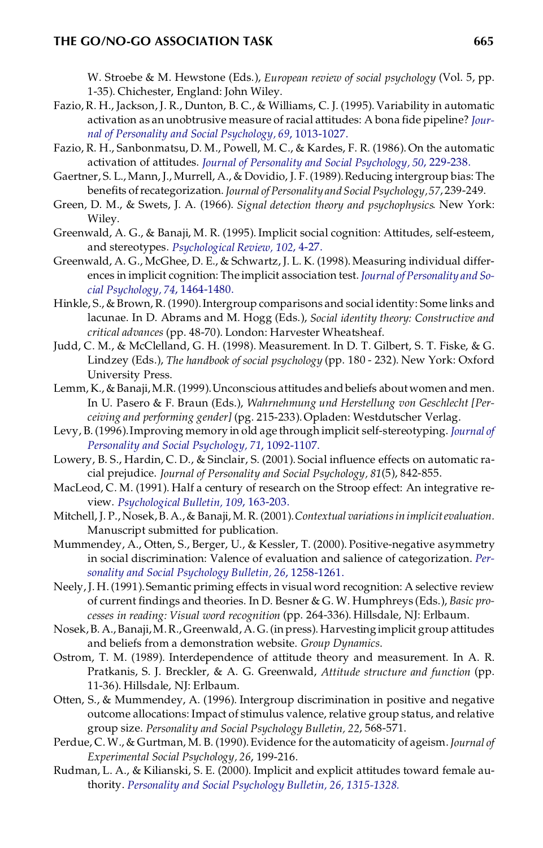#### **THE GO/NO-GO ASSOCIATION TASK 665**

W. Stroebe & M. Hewstone (Eds.), *European review of social psychology* (Vol. 5, pp. 1-35). Chichester, England: John Wiley.

- Fazio, R. H., Jackson, J. R., Dunton, B. C., & Williams, C. J. (1995). Variability in automatic activation as an unobtrusive measure of racial attitudes: A bona fide pipeline? *[Jour](http://pippo.ingentaselect.com/nw=1/rpsv/cgi-bin/linker?ext=a&reqidx=/0022-3514^28^2969L.1013[aid=16959])[nal of Personality and Social Psychology, 69](http://pippo.ingentaselect.com/nw=1/rpsv/cgi-bin/linker?ext=a&reqidx=/0022-3514^28^2969L.1013[aid=16959])*, 1013-1027.
- Fazio, R. H., Sanbonmatsu, D. M., Powell, M. C., & Kardes, F. R. (1986). On the automatic activation of attitudes. *[Journal of Personality and Social Psychology, 50](http://pippo.ingentaselect.com/nw=1/rpsv/cgi-bin/linker?ext=a&reqidx=/0022-3514^28^2950L.229[aid=17013])*, 229-238.
- Gaertner, S. L., Mann, J., Murrell, A., & Dovidio, J. F.(1989).Reducing intergroup bias: The benefits of recategorization. *Journal of Personality and Social Psychology*, 57, 239-249.
- Green, D. M., & Swets, J. A. (1966). *Signal detection theory and psychophysics*. New York: Wiley.
- Greenwald, A. G., & Banaji, M. R. (1995). Implicit social cognition: Attitudes, self-esteem, and stereotypes. *[Psychological Review, 102](http://pippo.ingentaselect.com/nw=1/rpsv/cgi-bin/linker?ext=a&reqidx=/0033-295X^28^29102L.4[aid=17123])*, 4-27.
- Greenwald, A. G., McGhee, D. E., & Schwartz, J. L. K. (1998).Measuring individual differ ences in implicit cognition: The implicit association test. *Journal of [Personality](http://pippo.ingentaselect.com/nw=1/rpsv/cgi-bin/linker?ext=a&reqidx=/0022-3514^28^2974L.1464[aid=213659]) and So[cial Psychology, 74](http://pippo.ingentaselect.com/nw=1/rpsv/cgi-bin/linker?ext=a&reqidx=/0022-3514^28^2974L.1464[aid=213659])*, 1464-1480.
- Hinkle, S., & Brown, R. (1990). Intergroup comparisons and social identity: Some links and lacunae. In D. Abrams and M. Hogg (Eds.), *Social identity theory: Constructive and critical advances* (pp. 48-70). London: Harvester Wheatsheaf.
- Judd, C. M., & McClelland, G. H. (1998). Measurement. In D. T. Gilbert, S. T. Fiske, & G. Lindzey (Eds.), *The handbook of social psychology* (pp. 180 -232). New York: Oxford University Press.
- Lemm, K., & Banaji,M.R.(1999).Unconscious attitudes and beliefs aboutwomen and men. In U. Pasero & F. Braun (Eds.), *Wahrnehmung und Herstellung von Geschlecht [Perceiving and performing gender]* (pg. 215-233). Opladen: Westdutscher Verlag.
- Levy, B. (1996).Improving memory in old age through implicit self-stereotyping. *[Journal](http://pippo.ingentaselect.com/nw=1/rpsv/cgi-bin/linker?ext=a&reqidx=/0022-3514^28^2971L.1092[aid=1988217]) of [Personality and Social Psychology, 71](http://pippo.ingentaselect.com/nw=1/rpsv/cgi-bin/linker?ext=a&reqidx=/0022-3514^28^2971L.1092[aid=1988217])*, 1092-1107.
- Lowery, B. S., Hardin, C. D., & Sinclair, S. (2001). Social influence effects on automatic ra cial prejudice. *Journal of Personality and Social Psychology, 81*(5), 842-855.
- MacLeod, C. M. (1991). Half a century of research on the Stroop effect: An integrative re view. *[Psychological Bulletin, 109](http://pippo.ingentaselect.com/nw=1/rpsv/cgi-bin/linker?ext=a&reqidx=/0033-2909^28^29109L.163[aid=19374])*, 163-203.
- Mitchell, J. P., Nosek,B.A.,& Banaji,M. R. (2001).*Contextual variationsinimplicitevaluation.* Manuscript submitted for publication.
- Mummendey, A., Otten, S., Berger, U., & Kessler, T. (2000). Positive-negative asymmetry in social discrimination: Valence of evaluation and salience of categorization. *[Per](http://pippo.ingentaselect.com/nw=1/rpsv/cgi-bin/linker?ext=a&reqidx=/0146-1672^28^2926L.1258[aid=1988218])[sonality and Social Psychology Bulletin, 26](http://pippo.ingentaselect.com/nw=1/rpsv/cgi-bin/linker?ext=a&reqidx=/0146-1672^28^2926L.1258[aid=1988218])*, 1258-1261.
- Neely, J. H.(1991).Semantic priming effects in visual word recognition: A selective review of current findings and theories. In D. Besner & G. W. Humphreys (Eds.), *Basic processes in reading: Visual word recognition* (pp. 264-336). Hillsdale, NJ: Erlbaum.
- Nosek,B. A.,Banaji,M.R.,Greenwald,A. G.(in press). Harvesting implicit group attitudes and beliefs from a demonstration website. *Group Dynamics*.
- Ostrom, T. M. (1989). Interdependence of attitude theory and measurement. In A. R. Pratkanis, S. J. Breckler, & A. G. Greenwald, *Attitude structure and function* (pp. 11-36). Hillsdale, NJ: Erlbaum.
- Otten, S., & Mummendey, A. (1996). Intergroup discrimination in positive and negative outcome allocations: Impact of stimulus valence, relative group status, and relative group size. *Personality and Social Psychology Bulletin, 22*, 568-571.
- Perdue, C.W., & Gurtman, M. B. (1990).Evidence forthe automaticity of ageism.*Journal of Experimental Social Psychology, 26*, 199-216.
- Rudman, L. A., & Kilianski, S. E. (2000). Implicit and explicit attitudes toward female authority. *[Personality and Social Psychology Bulletin, 26, 1315-1328.](http://pippo.ingentaselect.com/nw=1/rpsv/cgi-bin/linker?ext=a&reqidx=/0146-1672^28^2926L.1315[aid=1988219])*